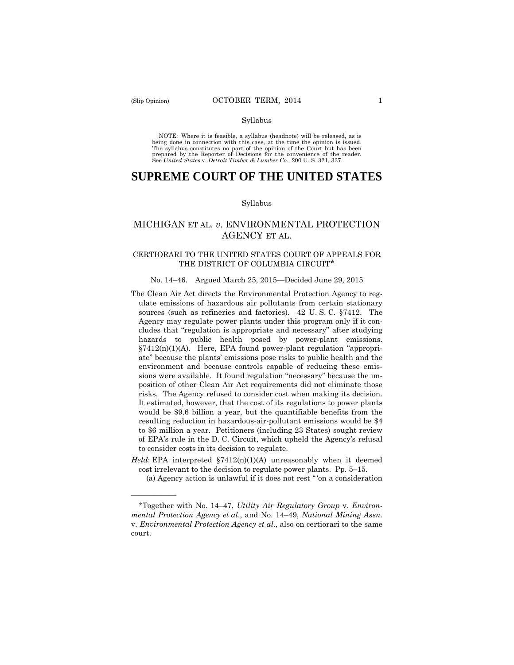——————

#### Syllabus

 NOTE: Where it is feasible, a syllabus (headnote) will be released, as is being done in connection with this case, at the time the opinion is issued. The syllabus constitutes no part of the opinion of the Court but has been<br>prepared by the Reporter of Decisions for the convenience of the reader.<br>See United States v. Detroit Timber & Lumber Co., 200 U. S. 321, 337.

# **SUPREME COURT OF THE UNITED STATES**

### Syllabus

# MICHIGAN ET AL. *v*. ENVIRONMENTAL PROTECTION AGENCY ET AL.

# CERTIORARI TO THE UNITED STATES COURT OF APPEALS FOR THE DISTRICT OF COLUMBIA CIRCUIT\*

### No. 14–46. Argued March 25, 2015—Decided June 29, 2015

- risks. The Agency refused to consider cost when making its decision. The Clean Air Act directs the Environmental Protection Agency to regulate emissions of hazardous air pollutants from certain stationary sources (such as refineries and factories). 42 U. S. C. §7412. The Agency may regulate power plants under this program only if it concludes that "regulation is appropriate and necessary" after studying hazards to public health posed by power-plant emissions. §7412(n)(1)(A). Here, EPA found power-plant regulation "appropriate" because the plants' emissions pose risks to public health and the environment and because controls capable of reducing these emissions were available. It found regulation "necessary" because the imposition of other Clean Air Act requirements did not eliminate those It estimated, however, that the cost of its regulations to power plants would be \$9.6 billion a year, but the quantifiable benefits from the resulting reduction in hazardous-air-pollutant emissions would be \$4 to \$6 million a year. Petitioners (including 23 States) sought review of EPA's rule in the D. C. Circuit, which upheld the Agency's refusal to consider costs in its decision to regulate.
- *Held*: EPA interpreted §7412(n)(1)(A) unreasonably when it deemed cost irrelevant to the decision to regulate power plants. Pp. 5–15.

(a) Agency action is unlawful if it does not rest " 'on a consideration

<sup>\*</sup>Together with No. 14–47, *Utility Air Regulatory Group* v. *Environmental Protection Agency et al*., and No. 14–49, *National Mining Assn*. v. *Environmental Protection Agency et al*., also on certiorari to the same court.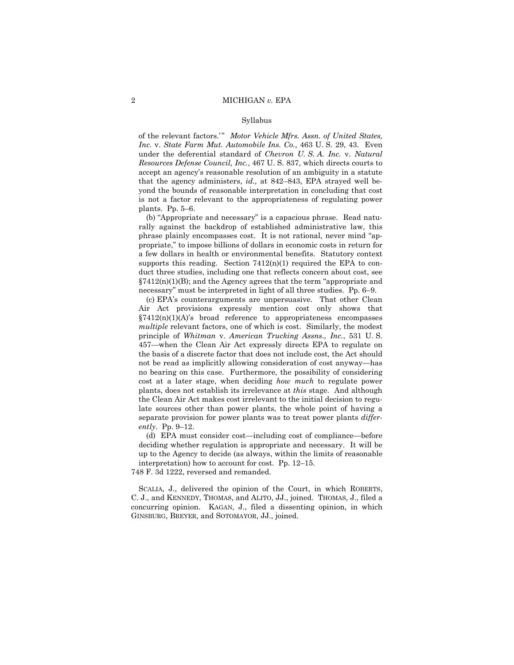#### Syllabus

of the relevant factors." Motor Vehicle Mfrs. Assn. of United States, *Inc.* v. *State Farm Mut. Automobile Ins. Co.*, 463 U. S. 29, 43. Even under the deferential standard of *Chevron U. S. A. Inc.* v. *Natural Resources Defense Council, Inc.*, 467 U. S. 837, which directs courts to accept an agency's reasonable resolution of an ambiguity in a statute that the agency administers, *id.,* at 842–843, EPA strayed well beyond the bounds of reasonable interpretation in concluding that cost is not a factor relevant to the appropriateness of regulating power plants. Pp. 5–6.

(b) "Appropriate and necessary" is a capacious phrase. Read naturally against the backdrop of established administrative law, this phrase plainly encompasses cost. It is not rational, never mind "appropriate," to impose billions of dollars in economic costs in return for a few dollars in health or environmental benefits. Statutory context supports this reading. Section  $7412(n)(1)$  required the EPA to conduct three studies, including one that reflects concern about cost, see  $§7412(n)(1)(B);$  and the Agency agrees that the term "appropriate and necessary" must be interpreted in light of all three studies. Pp. 6–9.

(c) EPA's counterarguments are unpersuasive. That other Clean Air Act provisions expressly mention cost only shows that  $$7412(n)(1)(A)$ 's broad reference to appropriateness encompasses *multiple* relevant factors, one of which is cost. Similarly, the modest principle of *Whitman* v. *American Trucking Assns., Inc.*, 531 U. S. 457—when the Clean Air Act expressly directs EPA to regulate on the basis of a discrete factor that does not include cost, the Act should not be read as implicitly allowing consideration of cost anyway—has no bearing on this case. Furthermore, the possibility of considering cost at a later stage, when deciding *how much* to regulate power plants, does not establish its irrelevance at *this* stage. And although the Clean Air Act makes cost irrelevant to the initial decision to regulate sources other than power plants, the whole point of having a separate provision for power plants was to treat power plants *differently*. Pp. 9–12.

(d) EPA must consider cost—including cost of compliance—before deciding whether regulation is appropriate and necessary. It will be up to the Agency to decide (as always, within the limits of reasonable interpretation) how to account for cost. Pp. 12–15.

748 F. 3d 1222, reversed and remanded.

SCALIA, J., delivered the opinion of the Court, in which ROBERTS, C. J., and KENNEDY, THOMAS, and ALITO, JJ., joined. THOMAS, J., filed a concurring opinion. KAGAN, J., filed a dissenting opinion, in which GINSBURG, BREYER, and SOTOMAYOR, JJ., joined.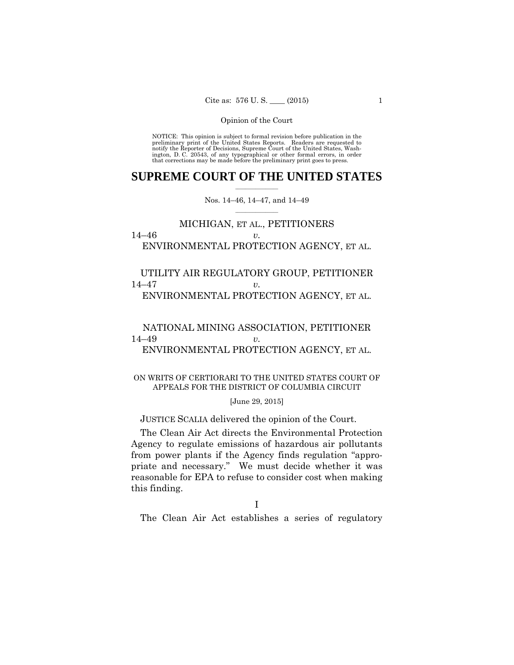preliminary print of the United States Reports. Readers are requested to notify the Reporter of Decisions, Supreme Court of the United States, Wash- ington, D. C. 20543, of any typographical or other formal errors, in order that corrections may be made before the preliminary print goes to press. NOTICE: This opinion is subject to formal revision before publication in the

## $\frac{1}{2}$  ,  $\frac{1}{2}$  ,  $\frac{1}{2}$  ,  $\frac{1}{2}$  ,  $\frac{1}{2}$  ,  $\frac{1}{2}$  ,  $\frac{1}{2}$ **SUPREME COURT OF THE UNITED STATES**

 $\frac{1}{2}$  ,  $\frac{1}{2}$  ,  $\frac{1}{2}$  ,  $\frac{1}{2}$  ,  $\frac{1}{2}$  ,  $\frac{1}{2}$ Nos. 14–46, 14–47, and 14–49

# MICHIGAN, ET AL., PETITIONERS  $14-46$  *v.* ENVIRONMENTAL PROTECTION AGENCY, ET AL.

# UTILITY AIR REGULATORY GROUP, PETITIONER 14–47 *v.*  ENVIRONMENTAL PROTECTION AGENCY, ET AL.

# NATIONAL MINING ASSOCIATION, PETITIONER 14–49 *v.*  ENVIRONMENTAL PROTECTION AGENCY, ET AL.

### ON WRITS OF CERTIORARI TO THE UNITED STATES COURT OF APPEALS FOR THE DISTRICT OF COLUMBIA CIRCUIT

## [June 29, 2015]

# JUSTICE SCALIA delivered the opinion of the Court.

The Clean Air Act directs the Environmental Protection Agency to regulate emissions of hazardous air pollutants from power plants if the Agency finds regulation "appropriate and necessary." We must decide whether it was reasonable for EPA to refuse to consider cost when making this finding.

I

The Clean Air Act establishes a series of regulatory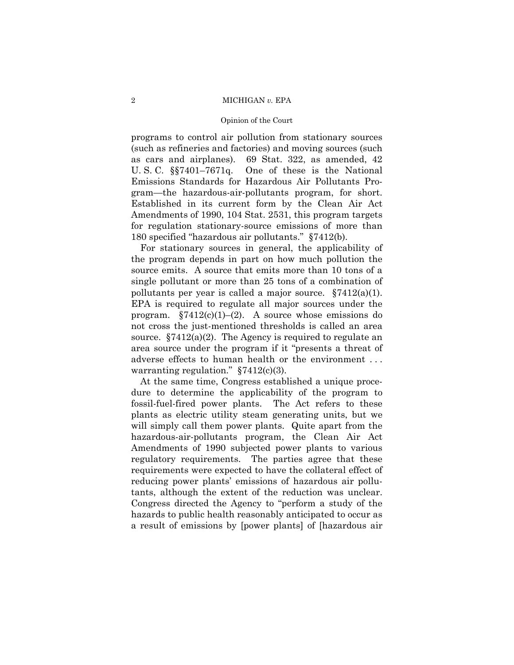### 2 MICHIGAN *v.* EPA

### Opinion of the Court

U.S.C.  $\S$  $7401-7671q$ . gram—the hazardous-air-pollutants program, for short. Established in its current form by the Clean Air Act programs to control air pollution from stationary sources (such as refineries and factories) and moving sources (such as cars and airplanes). 69 Stat. 322, as amended, 42 One of these is the National Emissions Standards for Hazardous Air Pollutants Pro-Amendments of 1990, 104 Stat. 2531, this program targets for regulation stationary-source emissions of more than 180 specified "hazardous air pollutants." §7412(b).

For stationary sources in general, the applicability of the program depends in part on how much pollution the source emits. A source that emits more than 10 tons of a single pollutant or more than 25 tons of a combination of pollutants per year is called a major source. §7412(a)(1). EPA is required to regulate all major sources under the program.  $$7412(c)(1)–(2)$ . A source whose emissions do not cross the just-mentioned thresholds is called an area source.  $$7412(a)(2)$ . The Agency is required to regulate an area source under the program if it "presents a threat of adverse effects to human health or the environment . . . warranting regulation."  $\S 7412(c)(3)$ .

At the same time, Congress established a unique procedure to determine the applicability of the program to fossil-fuel-fired power plants. The Act refers to these plants as electric utility steam generating units, but we will simply call them power plants. Quite apart from the hazardous-air-pollutants program, the Clean Air Act Amendments of 1990 subjected power plants to various regulatory requirements. The parties agree that these requirements were expected to have the collateral effect of reducing power plants' emissions of hazardous air pollutants, although the extent of the reduction was unclear. Congress directed the Agency to "perform a study of the hazards to public health reasonably anticipated to occur as a result of emissions by [power plants] of [hazardous air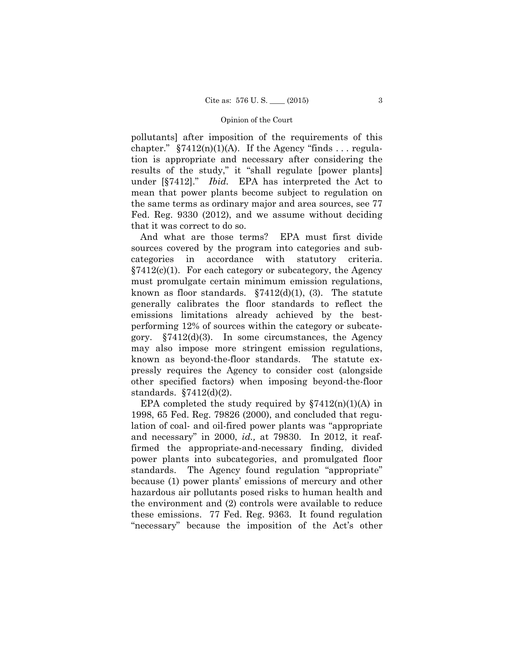pollutants] after imposition of the requirements of this chapter."  $\S 7412(n)(1)(A)$ . If the Agency "finds ... regulation is appropriate and necessary after considering the results of the study," it "shall regulate [power plants] under [§7412]." *Ibid.* EPA has interpreted the Act to mean that power plants become subject to regulation on the same terms as ordinary major and area sources, see 77 Fed. Reg. 9330 (2012), and we assume without deciding that it was correct to do so.

And what are those terms? EPA must first divide sources covered by the program into categories and subcategories in accordance with statutory criteria.  $§7412(c)(1)$ . For each category or subcategory, the Agency must promulgate certain minimum emission regulations, known as floor standards.  $\S7412(d)(1)$ , (3). The statute generally calibrates the floor standards to reflect the emissions limitations already achieved by the bestperforming 12% of sources within the category or subcategory.  $\S 7412(d)(3)$ . In some circumstances, the Agency may also impose more stringent emission regulations, known as beyond-the-floor standards. The statute expressly requires the Agency to consider cost (alongside other specified factors) when imposing beyond-the-floor standards. §7412(d)(2).

EPA completed the study required by  $$7412(n)(1)(A)$  in 1998, 65 Fed. Reg. 79826 (2000), and concluded that regulation of coal- and oil-fired power plants was "appropriate and necessary" in 2000, *id.,* at 79830. In 2012, it reaffirmed the appropriate-and-necessary finding, divided power plants into subcategories, and promulgated floor standards. The Agency found regulation "appropriate" because (1) power plants' emissions of mercury and other hazardous air pollutants posed risks to human health and the environment and (2) controls were available to reduce these emissions. 77 Fed. Reg. 9363. It found regulation "necessary" because the imposition of the Act's other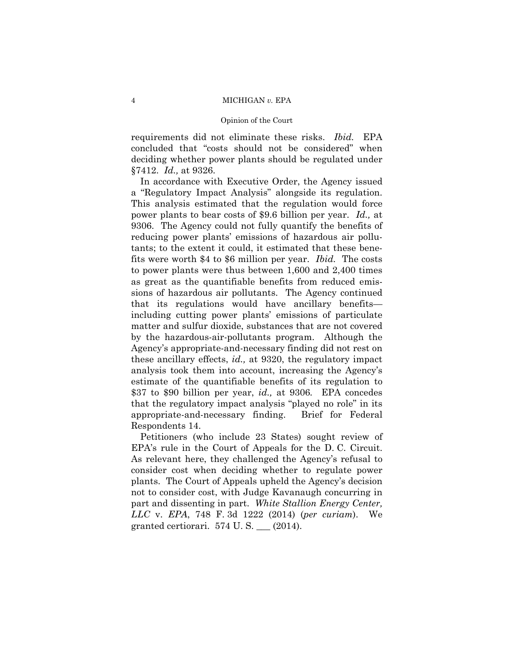requirements did not eliminate these risks. *Ibid.* EPA concluded that "costs should not be considered" when deciding whether power plants should be regulated under §7412. *Id.,* at 9326.

In accordance with Executive Order, the Agency issued a "Regulatory Impact Analysis" alongside its regulation. This analysis estimated that the regulation would force power plants to bear costs of \$9.6 billion per year. *Id.,* at 9306. The Agency could not fully quantify the benefits of reducing power plants' emissions of hazardous air pollutants; to the extent it could, it estimated that these benefits were worth \$4 to \$6 million per year. *Ibid.* The costs to power plants were thus between 1,600 and 2,400 times as great as the quantifiable benefits from reduced emissions of hazardous air pollutants. The Agency continued that its regulations would have ancillary benefits including cutting power plants' emissions of particulate matter and sulfur dioxide, substances that are not covered by the hazardous-air-pollutants program. Although the Agency's appropriate-and-necessary finding did not rest on these ancillary effects, *id.,* at 9320, the regulatory impact analysis took them into account, increasing the Agency's estimate of the quantifiable benefits of its regulation to \$37 to \$90 billion per year, *id.,* at 9306*.* EPA concedes that the regulatory impact analysis "played no role" in its appropriate-and-necessary finding. Brief for Federal Respondents 14.

Petitioners (who include 23 States) sought review of EPA's rule in the Court of Appeals for the D. C. Circuit. As relevant here, they challenged the Agency's refusal to consider cost when deciding whether to regulate power plants. The Court of Appeals upheld the Agency's decision not to consider cost, with Judge Kavanaugh concurring in part and dissenting in part. *White Stallion Energy Center, LLC* v. *EPA*, 748 F. 3d 1222 (2014) (*per curiam*). We granted certiorari. 574 U. S. \_\_\_ (2014).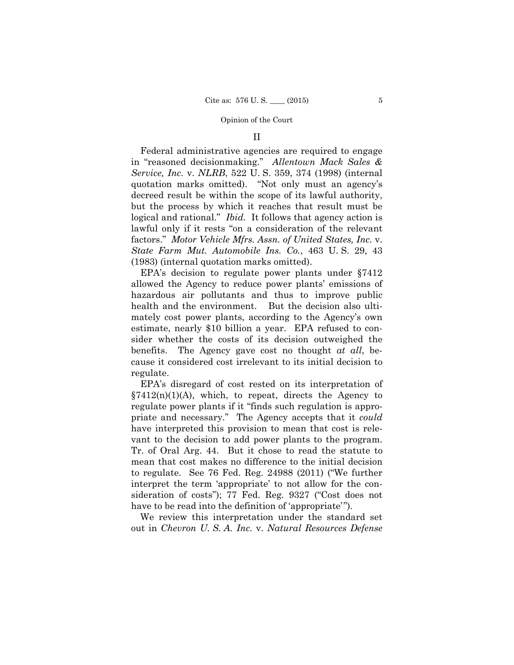### II

Federal administrative agencies are required to engage in "reasoned decisionmaking." *Allentown Mack Sales & Service, Inc.* v. *NLRB*, 522 U. S. 359, 374 (1998) (internal quotation marks omitted). "Not only must an agency's decreed result be within the scope of its lawful authority, but the process by which it reaches that result must be logical and rational." *Ibid.* It follows that agency action is lawful only if it rests "on a consideration of the relevant factors." *Motor Vehicle Mfrs. Assn. of United States, Inc.* v. *State Farm Mut. Automobile Ins. Co.*, 463 U. S. 29, 43 (1983) (internal quotation marks omitted).

EPA's decision to regulate power plants under §7412 allowed the Agency to reduce power plants' emissions of hazardous air pollutants and thus to improve public health and the environment. But the decision also ultimately cost power plants, according to the Agency's own estimate, nearly \$10 billion a year. EPA refused to consider whether the costs of its decision outweighed the benefits. The Agency gave cost no thought *at all*, because it considered cost irrelevant to its initial decision to regulate.

 vant to the decision to add power plants to the program. EPA's disregard of cost rested on its interpretation of  $\S7412(n)(1)(A)$ , which, to repeat, directs the Agency to regulate power plants if it "finds such regulation is appropriate and necessary." The Agency accepts that it *could*  have interpreted this provision to mean that cost is rele-Tr. of Oral Arg. 44. But it chose to read the statute to mean that cost makes no difference to the initial decision to regulate. See 76 Fed. Reg. 24988 (2011) ("We further interpret the term 'appropriate' to not allow for the consideration of costs"); 77 Fed. Reg. 9327 ("Cost does not have to be read into the definition of 'appropriate'").

We review this interpretation under the standard set out in *Chevron U. S. A. Inc.* v. *Natural Resources Defense*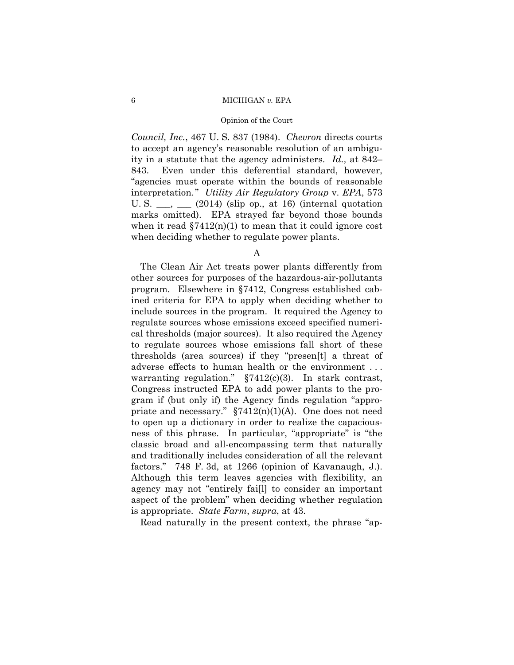### 6 MICHIGAN *v.* EPA

### Opinion of the Court

*Council, Inc.*, 467 U. S. 837 (1984). *Chevron* directs courts to accept an agency's reasonable resolution of an ambiguity in a statute that the agency administers. *Id.,* at 842– 843. Even under this deferential standard, however, "agencies must operate within the bounds of reasonable interpretation." *Utility Air Regulatory Group* v. *EPA*, 573 U. S.  $\_\_\_\_\_\_\_\_\$  (2014) (slip op., at 16) (internal quotation marks omitted). EPA strayed far beyond those bounds when it read  $$7412(n)(1)$  to mean that it could ignore cost when deciding whether to regulate power plants.

A

The Clean Air Act treats power plants differently from other sources for purposes of the hazardous-air-pollutants program. Elsewhere in §7412, Congress established cabined criteria for EPA to apply when deciding whether to include sources in the program. It required the Agency to regulate sources whose emissions exceed specified numerical thresholds (major sources). It also required the Agency to regulate sources whose emissions fall short of these thresholds (area sources) if they "presen[t] a threat of adverse effects to human health or the environment . . . warranting regulation."  $\S 7412(c)(3)$ . In stark contrast, Congress instructed EPA to add power plants to the program if (but only if) the Agency finds regulation "appropriate and necessary."  $\S 7412(n)(1)(A)$ . One does not need to open up a dictionary in order to realize the capaciousness of this phrase. In particular, "appropriate" is "the classic broad and all-encompassing term that naturally and traditionally includes consideration of all the relevant factors." 748 F. 3d, at 1266 (opinion of Kavanaugh, J.). Although this term leaves agencies with flexibility, an agency may not "entirely fai[l] to consider an important aspect of the problem" when deciding whether regulation is appropriate. *State Farm*, *supra*, at 43.

Read naturally in the present context, the phrase "ap-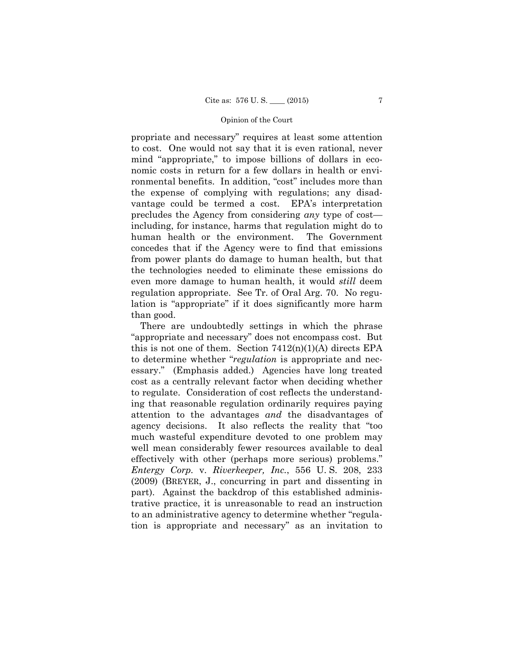propriate and necessary" requires at least some attention to cost. One would not say that it is even rational, never mind "appropriate," to impose billions of dollars in economic costs in return for a few dollars in health or environmental benefits. In addition, "cost" includes more than the expense of complying with regulations; any disadvantage could be termed a cost. EPA's interpretation precludes the Agency from considering *any* type of cost including, for instance, harms that regulation might do to human health or the environment. The Government concedes that if the Agency were to find that emissions from power plants do damage to human health, but that the technologies needed to eliminate these emissions do even more damage to human health, it would *still* deem regulation appropriate. See Tr. of Oral Arg. 70. No regulation is "appropriate" if it does significantly more harm than good.

There are undoubtedly settings in which the phrase "appropriate and necessary" does not encompass cost. But this is not one of them. Section  $7412(n)(1)(A)$  directs EPA to determine whether "*regulation* is appropriate and necessary." (Emphasis added.) Agencies have long treated cost as a centrally relevant factor when deciding whether to regulate. Consideration of cost reflects the understanding that reasonable regulation ordinarily requires paying attention to the advantages *and* the disadvantages of agency decisions. It also reflects the reality that "too much wasteful expenditure devoted to one problem may well mean considerably fewer resources available to deal effectively with other (perhaps more serious) problems." *Entergy Corp.* v. *Riverkeeper, Inc.*, 556 U. S. 208, 233 (2009) (BREYER, J., concurring in part and dissenting in part). Against the backdrop of this established administrative practice, it is unreasonable to read an instruction to an administrative agency to determine whether "regulation is appropriate and necessary" as an invitation to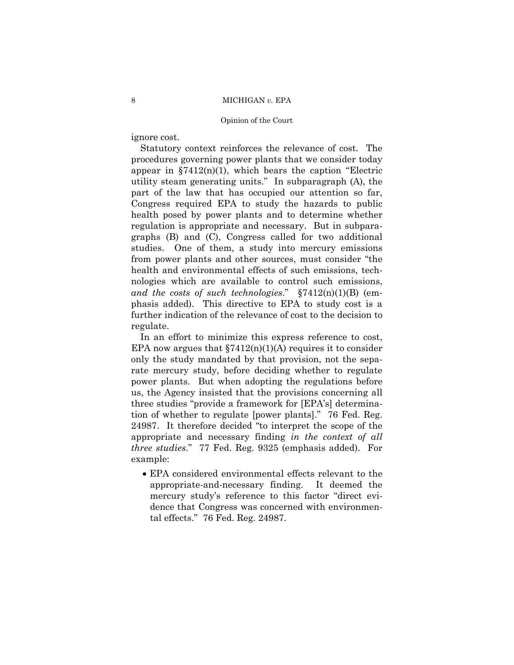ignore cost.

Statutory context reinforces the relevance of cost. The procedures governing power plants that we consider today appear in  $\S7412(n)(1)$ , which bears the caption "Electric utility steam generating units." In subparagraph (A), the part of the law that has occupied our attention so far, Congress required EPA to study the hazards to public health posed by power plants and to determine whether regulation is appropriate and necessary. But in subparagraphs (B) and (C), Congress called for two additional studies. One of them, a study into mercury emissions from power plants and other sources, must consider "the health and environmental effects of such emissions, technologies which are available to control such emissions, *and the costs of such technologies*." §7412(n)(1)(B) (emphasis added). This directive to EPA to study cost is a further indication of the relevance of cost to the decision to regulate.

In an effort to minimize this express reference to cost, EPA now argues that  $$7412(n)(1)(A)$  requires it to consider only the study mandated by that provision, not the separate mercury study, before deciding whether to regulate power plants. But when adopting the regulations before us, the Agency insisted that the provisions concerning all three studies "provide a framework for [EPA's] determination of whether to regulate [power plants]." 76 Fed. Reg. 24987. It therefore decided "to interpret the scope of the appropriate and necessary finding *in the context of all three studies*." 77 Fed. Reg. 9325 (emphasis added). For example:

 EPA considered environmental effects relevant to the appropriate-and-necessary finding. It deemed the mercury study's reference to this factor "direct evidence that Congress was concerned with environmental effects." 76 Fed. Reg. 24987.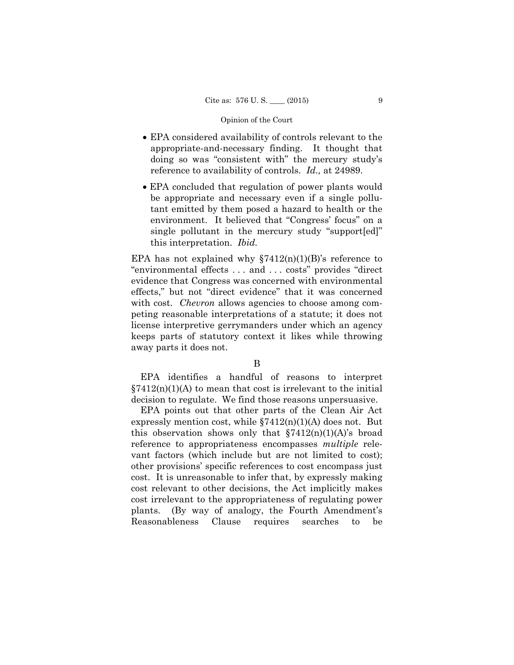- EPA considered availability of controls relevant to the appropriate-and-necessary finding. It thought that doing so was "consistent with" the mercury study's reference to availability of controls. *Id.,* at 24989.
- EPA concluded that regulation of power plants would be appropriate and necessary even if a single pollutant emitted by them posed a hazard to health or the environment. It believed that "Congress' focus" on a single pollutant in the mercury study "support[ed]" this interpretation. *Ibid.*

EPA has not explained why  $\frac{\gamma}{4}$  (1)(1)(B)'s reference to "environmental effects . . . and . . . costs" provides "direct evidence that Congress was concerned with environmental effects," but not "direct evidence" that it was concerned with cost. *Chevron* allows agencies to choose among competing reasonable interpretations of a statute; it does not license interpretive gerrymanders under which an agency keeps parts of statutory context it likes while throwing away parts it does not.

## B

EPA identifies a handful of reasons to interpret  $\S7412(n)(1)(A)$  to mean that cost is irrelevant to the initial decision to regulate. We find those reasons unpersuasive.

EPA points out that other parts of the Clean Air Act expressly mention cost, while  $\S7412(n)(1)(A)$  does not. But this observation shows only that  $\S 7412(n)(1)(A)$ 's broad reference to appropriateness encompasses *multiple* relevant factors (which include but are not limited to cost); other provisions' specific references to cost encompass just cost. It is unreasonable to infer that, by expressly making cost relevant to other decisions, the Act implicitly makes cost irrelevant to the appropriateness of regulating power plants. (By way of analogy, the Fourth Amendment's Reasonableness Clause requires searches to be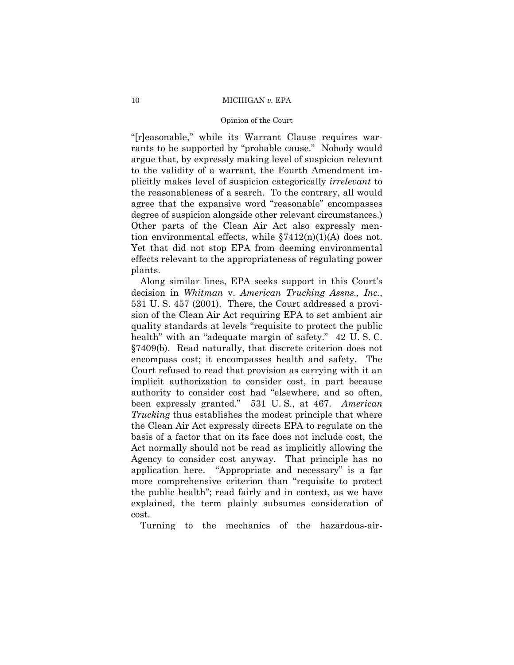### 10 MICHIGAN *v.* EPA

### Opinion of the Court

 degree of suspicion alongside other relevant circumstances.) "[r]easonable," while its Warrant Clause requires warrants to be supported by "probable cause." Nobody would argue that, by expressly making level of suspicion relevant to the validity of a warrant, the Fourth Amendment implicitly makes level of suspicion categorically *irrelevant* to the reasonableness of a search. To the contrary, all would agree that the expansive word "reasonable" encompasses Other parts of the Clean Air Act also expressly mention environmental effects, while  $\S7412(n)(1)(A)$  does not. Yet that did not stop EPA from deeming environmental effects relevant to the appropriateness of regulating power plants.

Along similar lines, EPA seeks support in this Court's decision in *Whitman* v. *American Trucking Assns., Inc.*, 531 U. S. 457 (2001). There, the Court addressed a provision of the Clean Air Act requiring EPA to set ambient air quality standards at levels "requisite to protect the public health" with an "adequate margin of safety." 42 U.S.C. §7409(b). Read naturally, that discrete criterion does not encompass cost; it encompasses health and safety. The Court refused to read that provision as carrying with it an implicit authorization to consider cost, in part because authority to consider cost had "elsewhere, and so often, been expressly granted." 531 U. S., at 467. *American Trucking* thus establishes the modest principle that where the Clean Air Act expressly directs EPA to regulate on the basis of a factor that on its face does not include cost, the Act normally should not be read as implicitly allowing the Agency to consider cost anyway. That principle has no application here. "Appropriate and necessary" is a far more comprehensive criterion than "requisite to protect the public health"; read fairly and in context, as we have explained, the term plainly subsumes consideration of cost.

Turning to the mechanics of the hazardous-air-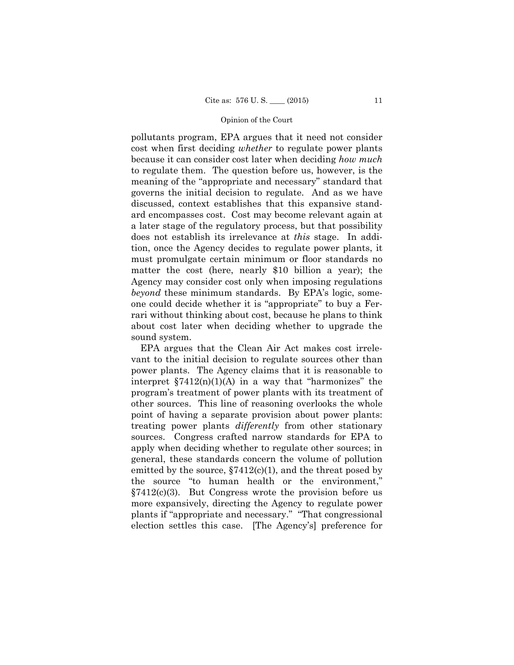pollutants program, EPA argues that it need not consider cost when first deciding *whether* to regulate power plants because it can consider cost later when deciding *how much*  to regulate them. The question before us, however, is the meaning of the "appropriate and necessary" standard that governs the initial decision to regulate. And as we have discussed, context establishes that this expansive standard encompasses cost. Cost may become relevant again at a later stage of the regulatory process, but that possibility does not establish its irrelevance at *this* stage. In addition, once the Agency decides to regulate power plants, it must promulgate certain minimum or floor standards no matter the cost (here, nearly \$10 billion a year); the Agency may consider cost only when imposing regulations *beyond* these minimum standards. By EPA's logic, someone could decide whether it is "appropriate" to buy a Ferrari without thinking about cost, because he plans to think about cost later when deciding whether to upgrade the sound system.

EPA argues that the Clean Air Act makes cost irrelevant to the initial decision to regulate sources other than power plants. The Agency claims that it is reasonable to interpret  $$7412(n)(1)(A)$  in a way that "harmonizes" the program's treatment of power plants with its treatment of other sources. This line of reasoning overlooks the whole point of having a separate provision about power plants: treating power plants *differently* from other stationary sources. Congress crafted narrow standards for EPA to apply when deciding whether to regulate other sources; in general, these standards concern the volume of pollution emitted by the source,  $$7412(c)(1)$ , and the threat posed by the source "to human health or the environment,"  $§7412(c)(3)$ . But Congress wrote the provision before us more expansively, directing the Agency to regulate power plants if "appropriate and necessary." "That congressional election settles this case. [The Agency's] preference for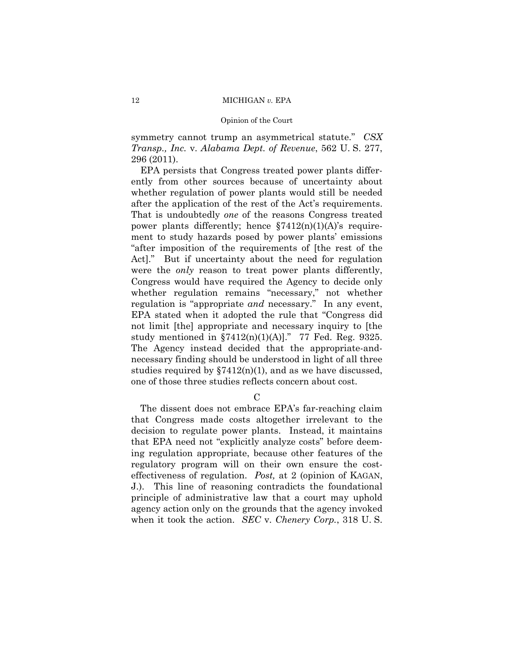symmetry cannot trump an asymmetrical statute." *CSX Transp., Inc.* v. *Alabama Dept. of Revenue*, 562 U. S. 277, 296 (2011).

EPA persists that Congress treated power plants differently from other sources because of uncertainty about whether regulation of power plants would still be needed after the application of the rest of the Act's requirements. That is undoubtedly *one* of the reasons Congress treated power plants differently; hence  $\S7412(n)(1)(A)$ 's requirement to study hazards posed by power plants' emissions "after imposition of the requirements of [the rest of the Act]." But if uncertainty about the need for regulation were the *only* reason to treat power plants differently, Congress would have required the Agency to decide only whether regulation remains "necessary," not whether regulation is "appropriate *and* necessary." In any event, EPA stated when it adopted the rule that "Congress did not limit [the] appropriate and necessary inquiry to [the study mentioned in  $$7412(n)(1)(A)]$ ." 77 Fed. Reg. 9325. The Agency instead decided that the appropriate-andnecessary finding should be understood in light of all three studies required by  $\S7412(n)(1)$ , and as we have discussed, one of those three studies reflects concern about cost.

 $\mathcal{C}$ 

The dissent does not embrace EPA's far-reaching claim that Congress made costs altogether irrelevant to the decision to regulate power plants. Instead, it maintains that EPA need not "explicitly analyze costs" before deeming regulation appropriate, because other features of the regulatory program will on their own ensure the costeffectiveness of regulation. *Post,* at 2 (opinion of KAGAN, J.). This line of reasoning contradicts the foundational principle of administrative law that a court may uphold agency action only on the grounds that the agency invoked when it took the action. *SEC* v. *Chenery Corp.*, 318 U. S.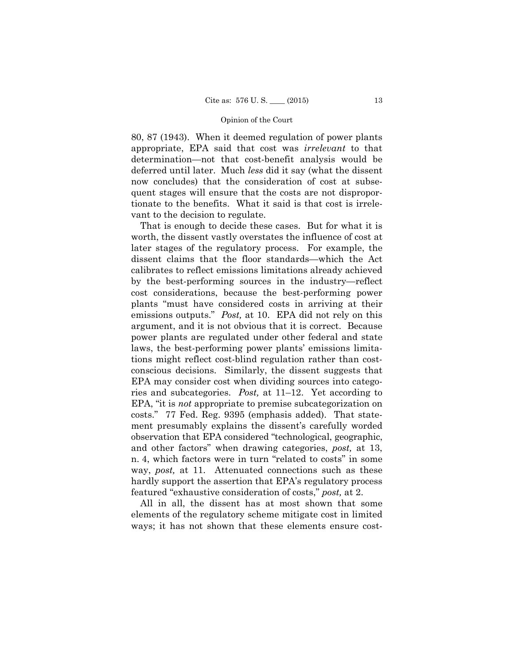80, 87 (1943). When it deemed regulation of power plants appropriate, EPA said that cost was *irrelevant* to that determination—not that cost-benefit analysis would be deferred until later. Much *less* did it say (what the dissent now concludes) that the consideration of cost at subsequent stages will ensure that the costs are not disproportionate to the benefits. What it said is that cost is irrelevant to the decision to regulate.

That is enough to decide these cases. But for what it is worth, the dissent vastly overstates the influence of cost at later stages of the regulatory process. For example, the dissent claims that the floor standards—which the Act calibrates to reflect emissions limitations already achieved by the best-performing sources in the industry—reflect cost considerations, because the best-performing power plants "must have considered costs in arriving at their emissions outputs." *Post,* at 10. EPA did not rely on this argument, and it is not obvious that it is correct. Because power plants are regulated under other federal and state laws, the best-performing power plants' emissions limitations might reflect cost-blind regulation rather than costconscious decisions. Similarly, the dissent suggests that EPA may consider cost when dividing sources into categories and subcategories. *Post,* at 11–12. Yet according to EPA, "it is *not* appropriate to premise subcategorization on costs." 77 Fed. Reg. 9395 (emphasis added). That statement presumably explains the dissent's carefully worded observation that EPA considered "technological, geographic, and other factors" when drawing categories, *post,* at 13, n. 4, which factors were in turn "related to costs" in some way, *post,* at 11. Attenuated connections such as these hardly support the assertion that EPA's regulatory process featured "exhaustive consideration of costs," *post,* at 2.

All in all, the dissent has at most shown that some elements of the regulatory scheme mitigate cost in limited ways; it has not shown that these elements ensure cost-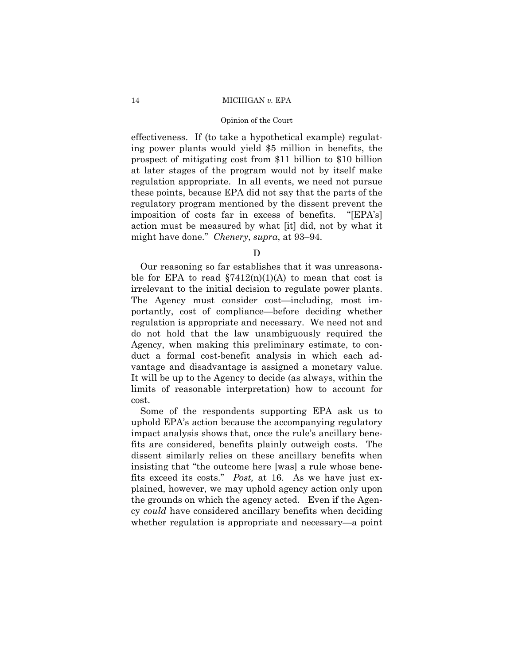# 14 MICHIGAN *v.* EPA

### Opinion of the Court

effectiveness. If (to take a hypothetical example) regulating power plants would yield \$5 million in benefits, the prospect of mitigating cost from \$11 billion to \$10 billion at later stages of the program would not by itself make regulation appropriate. In all events, we need not pursue these points, because EPA did not say that the parts of the regulatory program mentioned by the dissent prevent the imposition of costs far in excess of benefits. "[EPA's] action must be measured by what [it] did, not by what it might have done." *Chenery*, *supra*, at 93–94.

D

Our reasoning so far establishes that it was unreasonable for EPA to read  $\frac{\xi}{4}$ (n)(1)(A) to mean that cost is irrelevant to the initial decision to regulate power plants. The Agency must consider cost—including, most importantly, cost of compliance—before deciding whether regulation is appropriate and necessary. We need not and do not hold that the law unambiguously required the Agency, when making this preliminary estimate, to conduct a formal cost-benefit analysis in which each advantage and disadvantage is assigned a monetary value. It will be up to the Agency to decide (as always, within the limits of reasonable interpretation) how to account for cost.

Some of the respondents supporting EPA ask us to uphold EPA's action because the accompanying regulatory impact analysis shows that, once the rule's ancillary benefits are considered, benefits plainly outweigh costs. The dissent similarly relies on these ancillary benefits when insisting that "the outcome here [was] a rule whose benefits exceed its costs." *Post,* at 16. As we have just explained, however, we may uphold agency action only upon the grounds on which the agency acted. Even if the Agency *could* have considered ancillary benefits when deciding whether regulation is appropriate and necessary—a point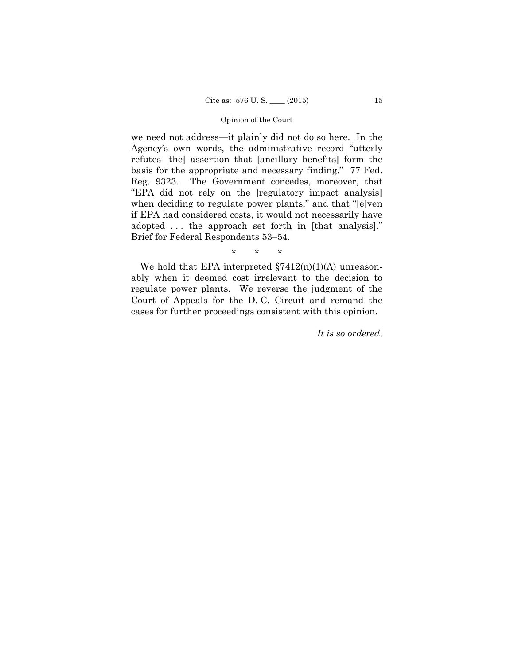we need not address—it plainly did not do so here. In the Agency's own words, the administrative record "utterly refutes [the] assertion that [ancillary benefits] form the basis for the appropriate and necessary finding." 77 Fed. Reg. 9323. The Government concedes, moreover, that "EPA did not rely on the [regulatory impact analysis] when deciding to regulate power plants," and that "[e]ven if EPA had considered costs, it would not necessarily have adopted . . . the approach set forth in [that analysis]." Brief for Federal Respondents 53–54.

\* \* \*

We hold that EPA interpreted  $\frac{\gamma}{4}$  7412(n)(1)(A) unreasonably when it deemed cost irrelevant to the decision to regulate power plants. We reverse the judgment of the Court of Appeals for the D. C. Circuit and remand the cases for further proceedings consistent with this opinion.

*It is so ordered*.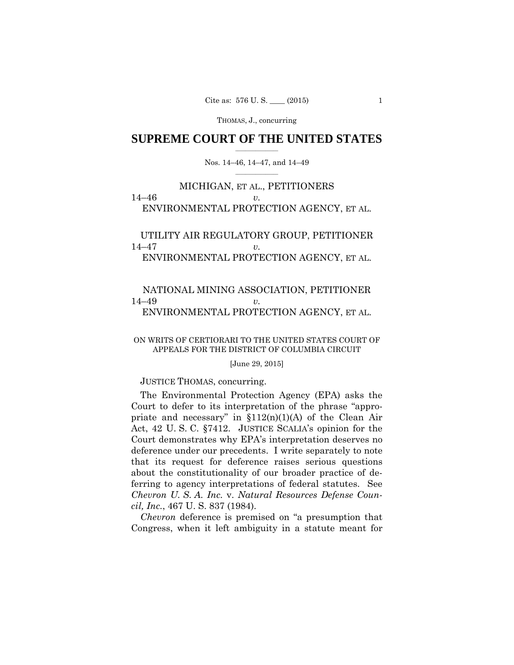# $\frac{1}{2}$  ,  $\frac{1}{2}$  ,  $\frac{1}{2}$  ,  $\frac{1}{2}$  ,  $\frac{1}{2}$  ,  $\frac{1}{2}$  ,  $\frac{1}{2}$ **SUPREME COURT OF THE UNITED STATES**

### $\frac{1}{2}$  ,  $\frac{1}{2}$  ,  $\frac{1}{2}$  ,  $\frac{1}{2}$  ,  $\frac{1}{2}$  ,  $\frac{1}{2}$ Nos. 14–46, 14–47, and 14–49

# MICHIGAN, ET AL., PETITIONERS 14–46 *v.*  ENVIRONMENTAL PROTECTION AGENCY, ET AL.

# UTILITY AIR REGULATORY GROUP, PETITIONER 14–47 *v.*

ENVIRONMENTAL PROTECTION AGENCY, ET AL.

# NATIONAL MINING ASSOCIATION, PETITIONER 14–49 *v.*  ENVIRONMENTAL PROTECTION AGENCY, ET AL.

# ON WRITS OF CERTIORARI TO THE UNITED STATES COURT OF APPEALS FOR THE DISTRICT OF COLUMBIA CIRCUIT

### [June 29, 2015]

### JUSTICE THOMAS, concurring.

The Environmental Protection Agency (EPA) asks the Court to defer to its interpretation of the phrase "appropriate and necessary" in  $$112(n)(1)(A)$  of the Clean Air Act, 42 U. S. C. §7412. JUSTICE SCALIA's opinion for the Court demonstrates why EPA's interpretation deserves no deference under our precedents. I write separately to note that its request for deference raises serious questions about the constitutionality of our broader practice of deferring to agency interpretations of federal statutes. See *Chevron U. S. A. Inc.* v. *Natural Resources Defense Council, Inc.*, 467 U. S. 837 (1984).

*Chevron* deference is premised on "a presumption that Congress, when it left ambiguity in a statute meant for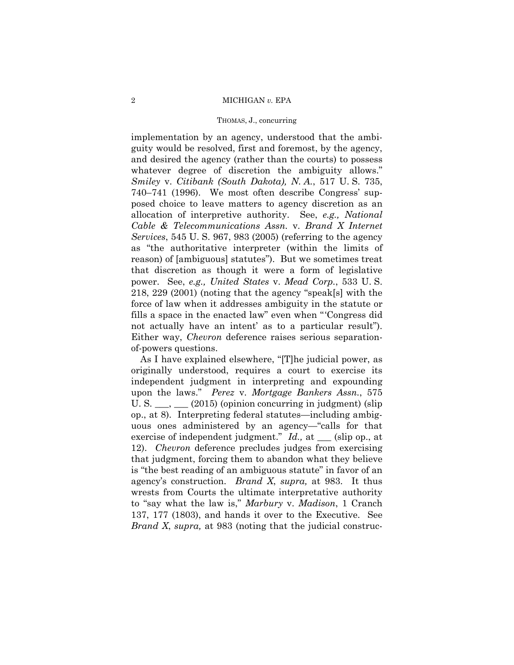implementation by an agency, understood that the ambiguity would be resolved, first and foremost, by the agency, and desired the agency (rather than the courts) to possess whatever degree of discretion the ambiguity allows." *Smiley* v. *Citibank (South Dakota), N. A.*, 517 U. S. 735, 740–741 (1996). We most often describe Congress' supposed choice to leave matters to agency discretion as an allocation of interpretive authority. See, *e.g., National Cable & Telecommunications Assn.* v. *Brand X Internet Services*, 545 U. S. 967, 983 (2005) (referring to the agency as "the authoritative interpreter (within the limits of reason) of [ambiguous] statutes"). But we sometimes treat that discretion as though it were a form of legislative power. See, *e.g., United States* v. *Mead Corp.*, 533 U. S. 218, 229 (2001) (noting that the agency "speak[s] with the force of law when it addresses ambiguity in the statute or fills a space in the enacted law" even when "'Congress did not actually have an intent' as to a particular result"). Either way, *Chevron* deference raises serious separationof-powers questions.

As I have explained elsewhere, "[T]he judicial power, as originally understood, requires a court to exercise its independent judgment in interpreting and expounding upon the laws." *Perez* v. *Mortgage Bankers Assn.*, 575 U. S.  $\_\_\_\_\_\_\_\_\_\_\$  (2015) (opinion concurring in judgment) (slip op., at 8). Interpreting federal statutes—including ambiguous ones administered by an agency—"calls for that exercise of independent judgment." *Id.*, at \_\_\_ (slip op., at 12). *Chevron* deference precludes judges from exercising that judgment, forcing them to abandon what they believe is "the best reading of an ambiguous statute" in favor of an agency's construction. *Brand X*, *supra,* at 983. It thus wrests from Courts the ultimate interpretative authority to "say what the law is," *Marbury* v. *Madison*, 1 Cranch 137, 177 (1803), and hands it over to the Executive. See *Brand X*, *supra,* at 983 (noting that the judicial construc-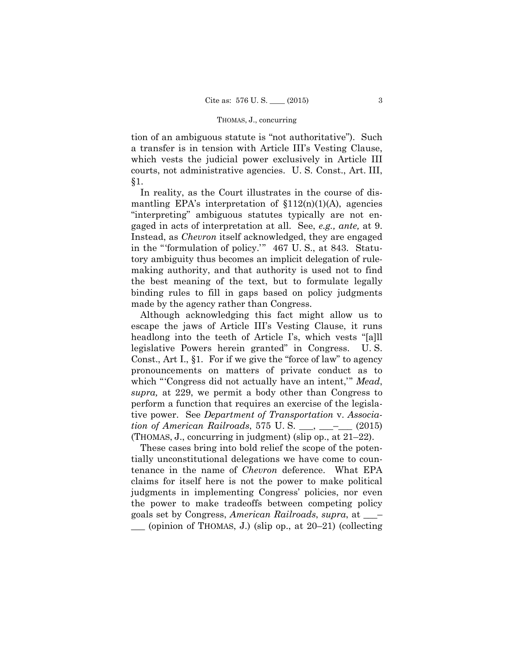tion of an ambiguous statute is "not authoritative"). Such a transfer is in tension with Article III's Vesting Clause, which vests the judicial power exclusively in Article III courts, not administrative agencies. U. S. Const., Art. III, §1.

In reality, as the Court illustrates in the course of dismantling EPA's interpretation of  $$112(n)(1)(A)$ , agencies "interpreting" ambiguous statutes typically are not engaged in acts of interpretation at all. See, *e.g., ante,* at 9. Instead, as *Chevron* itself acknowledged, they are engaged in the "'formulation of policy.'" 467 U. S., at 843. Statutory ambiguity thus becomes an implicit delegation of rulemaking authority, and that authority is used not to find the best meaning of the text, but to formulate legally binding rules to fill in gaps based on policy judgments made by the agency rather than Congress.

Although acknowledging this fact might allow us to escape the jaws of Article III's Vesting Clause, it runs headlong into the teeth of Article I's, which vests "[a]ll legislative Powers herein granted" in Congress. U. S. Const., Art I., §1. For if we give the "force of law" to agency pronouncements on matters of private conduct as to which "'Congress did not actually have an intent,'" *Mead*, *supra,* at 229, we permit a body other than Congress to perform a function that requires an exercise of the legislative power. See *Department of Transportation* v. *Association of American Railroads*, 575 U. S. \_\_\_, \_\_\_–\_\_\_ (2015) (THOMAS, J., concurring in judgment) (slip op., at 21–22).

These cases bring into bold relief the scope of the potentially unconstitutional delegations we have come to countenance in the name of *Chevron* deference. What EPA claims for itself here is not the power to make political judgments in implementing Congress' policies, nor even the power to make tradeoffs between competing policy goals set by Congress, *American Railroads*, *supra*, at \_\_\_–  $\Box$  (opinion of THOMAS, J.) (slip op., at 20–21) (collecting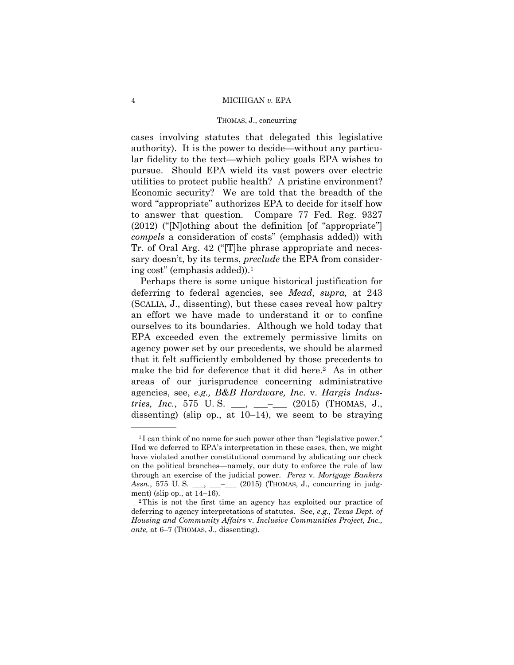### 4 MICHIGAN *v.* EPA

### THOMAS, J., concurring

cases involving statutes that delegated this legislative authority). It is the power to decide—without any particular fidelity to the text—which policy goals EPA wishes to pursue. Should EPA wield its vast powers over electric utilities to protect public health? A pristine environment? Economic security? We are told that the breadth of the word "appropriate" authorizes EPA to decide for itself how to answer that question. Compare 77 Fed. Reg. 9327 (2012) ("[N]othing about the definition [of "appropriate"] *compels* a consideration of costs" (emphasis added)) with Tr. of Oral Arg. 42 ("[T]he phrase appropriate and necessary doesn't, by its terms, *preclude* the EPA from considering cost" (emphasis added)).<sup>1</sup>

 (SCALIA, J., dissenting), but these cases reveal how paltry Perhaps there is some unique historical justification for deferring to federal agencies, see *Mead*, *supra,* at 243 an effort we have made to understand it or to confine ourselves to its boundaries. Although we hold today that EPA exceeded even the extremely permissive limits on agency power set by our precedents, we should be alarmed that it felt sufficiently emboldened by those precedents to make the bid for deference that it did here.<sup>2</sup> As in other areas of our jurisprudence concerning administrative agencies, see, *e.g., B&B Hardware, Inc.* v. *Hargis Industries, Inc.*, 575 U. S. \_\_\_, \_\_\_–\_\_\_ (2015) (THOMAS, J., dissenting) (slip op., at 10–14), we seem to be straying

——————

 through an exercise of the judicial power. *Perez* v. *Mortgage Bankers*  <sup>1</sup>I can think of no name for such power other than "legislative power." Had we deferred to EPA's interpretation in these cases, then, we might have violated another constitutional command by abdicating our check on the political branches—namely, our duty to enforce the rule of law Assn., 575 U.S. \_\_, \_\_-\_\_ (2015) (THOMAS, J., concurring in judgment) (slip op., at  $14-16$ ).<br><sup>2</sup>This is not the first time an agency has exploited our practice of

deferring to agency interpretations of statutes. See, *e.g., Texas Dept. of Housing and Community Affairs* v. *Inclusive Communities Project, Inc., ante,* at 6–7 (THOMAS, J., dissenting).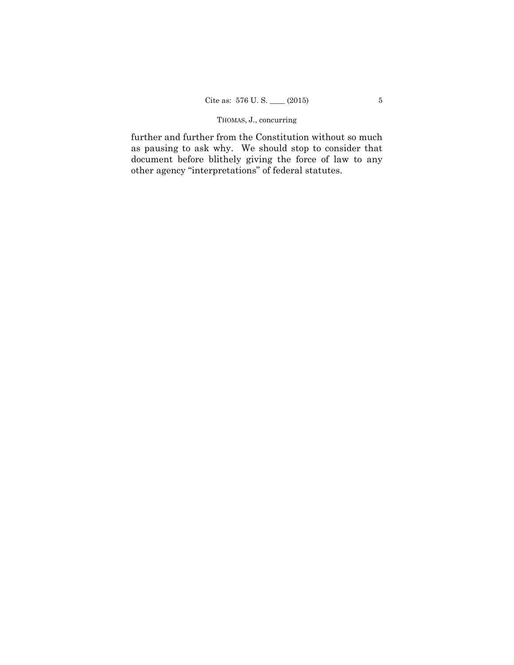further and further from the Constitution without so much as pausing to ask why. We should stop to consider that document before blithely giving the force of law to any other agency "interpretations" of federal statutes.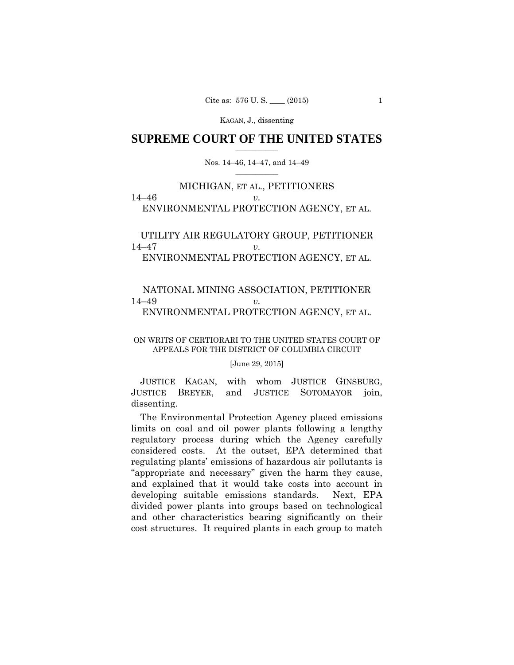# $\frac{1}{2}$  ,  $\frac{1}{2}$  ,  $\frac{1}{2}$  ,  $\frac{1}{2}$  ,  $\frac{1}{2}$  ,  $\frac{1}{2}$  ,  $\frac{1}{2}$ **SUPREME COURT OF THE UNITED STATES**

### $\frac{1}{2}$  ,  $\frac{1}{2}$  ,  $\frac{1}{2}$  ,  $\frac{1}{2}$  ,  $\frac{1}{2}$  ,  $\frac{1}{2}$ Nos. 14–46, 14–47, and 14–49

# MICHIGAN, ET AL., PETITIONERS 14–46 *v.*  ENVIRONMENTAL PROTECTION AGENCY, ET AL.

# UTILITY AIR REGULATORY GROUP, PETITIONER 14–47 *v.*

ENVIRONMENTAL PROTECTION AGENCY, ET AL.

# NATIONAL MINING ASSOCIATION, PETITIONER 14–49 *v.*  ENVIRONMENTAL PROTECTION AGENCY, ET AL.

## ON WRITS OF CERTIORARI TO THE UNITED STATES COURT OF APPEALS FOR THE DISTRICT OF COLUMBIA CIRCUIT

### [June 29, 2015]

JUSTICE KAGAN, with whom JUSTICE GINSBURG, JUSTICE BREYER, and JUSTICE SOTOMAYOR join, dissenting.

The Environmental Protection Agency placed emissions limits on coal and oil power plants following a lengthy regulatory process during which the Agency carefully considered costs. At the outset, EPA determined that regulating plants' emissions of hazardous air pollutants is "appropriate and necessary" given the harm they cause, and explained that it would take costs into account in developing suitable emissions standards. Next, EPA divided power plants into groups based on technological and other characteristics bearing significantly on their cost structures. It required plants in each group to match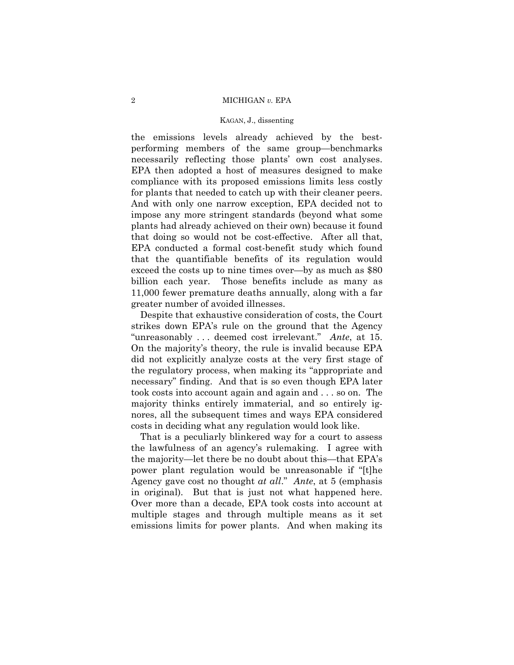the emissions levels already achieved by the bestperforming members of the same group—benchmarks necessarily reflecting those plants' own cost analyses. EPA then adopted a host of measures designed to make compliance with its proposed emissions limits less costly for plants that needed to catch up with their cleaner peers. And with only one narrow exception, EPA decided not to impose any more stringent standards (beyond what some plants had already achieved on their own) because it found that doing so would not be cost-effective. After all that, EPA conducted a formal cost-benefit study which found that the quantifiable benefits of its regulation would exceed the costs up to nine times over—by as much as \$80 billion each year. Those benefits include as many as 11,000 fewer premature deaths annually, along with a far greater number of avoided illnesses.

Despite that exhaustive consideration of costs, the Court strikes down EPA's rule on the ground that the Agency "unreasonably . . . deemed cost irrelevant." *Ante*, at 15. On the majority's theory, the rule is invalid because EPA did not explicitly analyze costs at the very first stage of the regulatory process, when making its "appropriate and necessary" finding. And that is so even though EPA later took costs into account again and again and  $\dots$  so on. The majority thinks entirely immaterial, and so entirely ignores, all the subsequent times and ways EPA considered costs in deciding what any regulation would look like.

 in original). But that is just not what happened here. That is a peculiarly blinkered way for a court to assess the lawfulness of an agency's rulemaking. I agree with the majority—let there be no doubt about this—that EPA's power plant regulation would be unreasonable if "[t]he Agency gave cost no thought *at all*." *Ante*, at 5 (emphasis Over more than a decade, EPA took costs into account at multiple stages and through multiple means as it set emissions limits for power plants. And when making its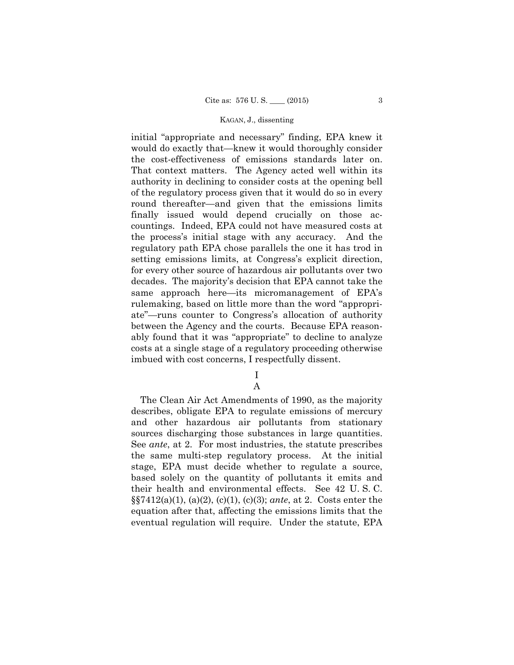initial "appropriate and necessary" finding, EPA knew it would do exactly that—knew it would thoroughly consider the cost-effectiveness of emissions standards later on. That context matters. The Agency acted well within its authority in declining to consider costs at the opening bell of the regulatory process given that it would do so in every round thereafter—and given that the emissions limits finally issued would depend crucially on those accountings. Indeed, EPA could not have measured costs at the process's initial stage with any accuracy. And the regulatory path EPA chose parallels the one it has trod in setting emissions limits, at Congress's explicit direction, for every other source of hazardous air pollutants over two decades. The majority's decision that EPA cannot take the same approach here—its micromanagement of EPA's rulemaking, based on little more than the word "appropriate"—runs counter to Congress's allocation of authority between the Agency and the courts. Because EPA reasonably found that it was "appropriate" to decline to analyze costs at a single stage of a regulatory proceeding otherwise imbued with cost concerns, I respectfully dissent.

> I A

 sources discharging those substances in large quantities.  See *ante*, at 2. For most industries, the statute prescribes The Clean Air Act Amendments of 1990, as the majority describes, obligate EPA to regulate emissions of mercury and other hazardous air pollutants from stationary the same multi-step regulatory process. At the initial stage, EPA must decide whether to regulate a source, based solely on the quantity of pollutants it emits and their health and environmental effects. See 42 U. S. C. §§7412(a)(1), (a)(2), (c)(1), (c)(3); *ante*, at 2. Costs enter the equation after that, affecting the emissions limits that the eventual regulation will require. Under the statute, EPA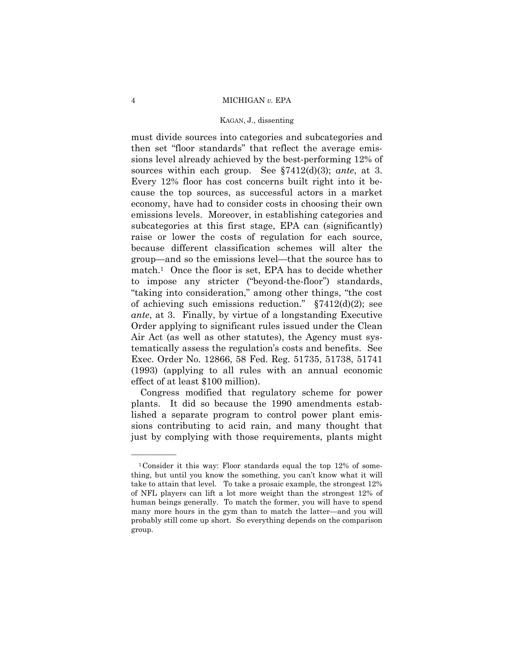### 4 MICHIGAN *v.* EPA

### KAGAN, J., dissenting

must divide sources into categories and subcategories and then set "floor standards" that reflect the average emissions level already achieved by the best-performing 12% of sources within each group. See §7412(d)(3); *ante*, at 3. Every 12% floor has cost concerns built right into it because the top sources, as successful actors in a market economy, have had to consider costs in choosing their own emissions levels. Moreover, in establishing categories and subcategories at this first stage, EPA can (significantly) raise or lower the costs of regulation for each source, because different classification schemes will alter the group—and so the emissions level—that the source has to match.1 Once the floor is set, EPA has to decide whether to impose any stricter ("beyond-the-floor") standards, "taking into consideration," among other things, "the cost of achieving such emissions reduction."  $\S 7412(d)(2)$ ; see *ante*, at 3. Finally, by virtue of a longstanding Executive Order applying to significant rules issued under the Clean Air Act (as well as other statutes), the Agency must systematically assess the regulation's costs and benefits. See Exec. Order No. 12866, 58 Fed. Reg. 51735, 51738, 51741 (1993) (applying to all rules with an annual economic effect of at least \$100 million).

Congress modified that regulatory scheme for power plants. It did so because the 1990 amendments established a separate program to control power plant emissions contributing to acid rain, and many thought that just by complying with those requirements, plants might

——————

<sup>&</sup>lt;sup>1</sup>Consider it this way: Floor standards equal the top  $12\%$  of something, but until you know the something, you can't know what it will take to attain that level. To take a prosaic example, the strongest 12% of NFL players can lift a lot more weight than the strongest 12% of human beings generally. To match the former, you will have to spend many more hours in the gym than to match the latter—and you will probably still come up short. So everything depends on the comparison group.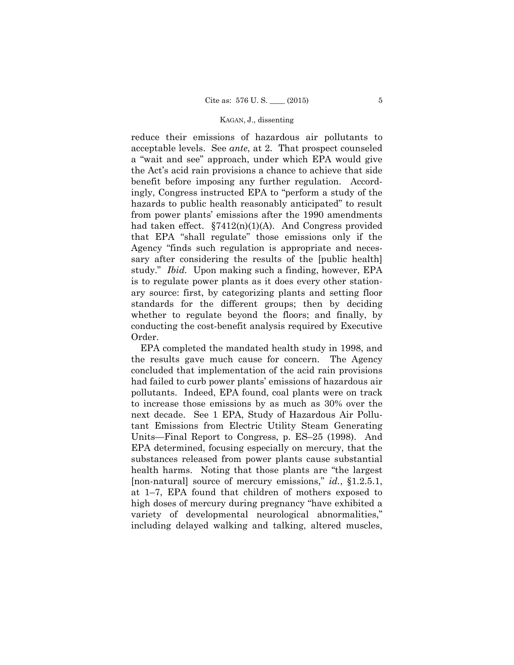acceptable levels. See *ante*, at 2. That prospect counseled reduce their emissions of hazardous air pollutants to a "wait and see" approach, under which EPA would give the Act's acid rain provisions a chance to achieve that side benefit before imposing any further regulation. Accordingly, Congress instructed EPA to "perform a study of the hazards to public health reasonably anticipated" to result from power plants' emissions after the 1990 amendments had taken effect.  $\S7412(n)(1)(A)$ . And Congress provided that EPA "shall regulate" those emissions only if the Agency "finds such regulation is appropriate and necessary after considering the results of the [public health] study." *Ibid.* Upon making such a finding, however, EPA is to regulate power plants as it does every other stationary source: first, by categorizing plants and setting floor standards for the different groups; then by deciding whether to regulate beyond the floors; and finally, by conducting the cost-benefit analysis required by Executive Order.

EPA completed the mandated health study in 1998, and the results gave much cause for concern. The Agency concluded that implementation of the acid rain provisions had failed to curb power plants' emissions of hazardous air pollutants. Indeed, EPA found, coal plants were on track to increase those emissions by as much as 30% over the next decade. See 1 EPA, Study of Hazardous Air Pollutant Emissions from Electric Utility Steam Generating Units—Final Report to Congress, p. ES–25 (1998). And EPA determined, focusing especially on mercury, that the substances released from power plants cause substantial health harms. Noting that those plants are "the largest [non-natural] source of mercury emissions," *id.*, §1.2.5.1, at 1–7, EPA found that children of mothers exposed to high doses of mercury during pregnancy "have exhibited a variety of developmental neurological abnormalities," including delayed walking and talking, altered muscles,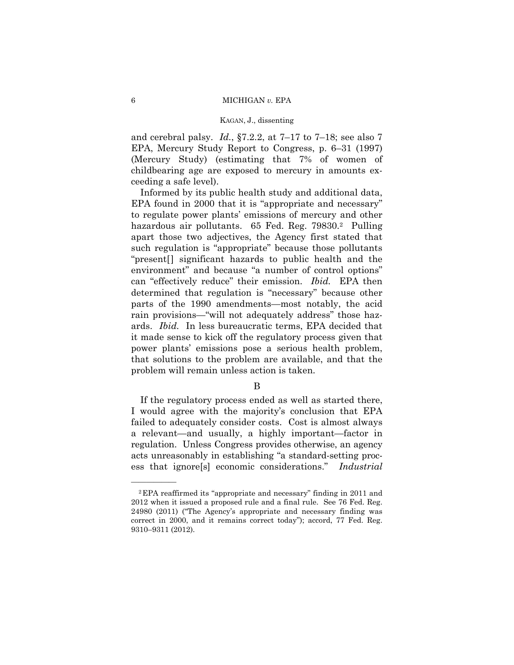and cerebral palsy. *Id.*, §7.2.2, at 7–17 to 7–18; see also 7 EPA, Mercury Study Report to Congress, p. 6–31 (1997) (Mercury Study) (estimating that 7% of women of childbearing age are exposed to mercury in amounts exceeding a safe level).

Informed by its public health study and additional data, EPA found in 2000 that it is "appropriate and necessary" to regulate power plants' emissions of mercury and other hazardous air pollutants. 65 Fed. Reg. 79830.<sup>2</sup> Pulling apart those two adjectives, the Agency first stated that such regulation is "appropriate" because those pollutants "present[] significant hazards to public health and the environment" and because "a number of control options" can "effectively reduce" their emission. *Ibid.* EPA then determined that regulation is "necessary" because other parts of the 1990 amendments—most notably, the acid rain provisions—"will not adequately address" those hazards. *Ibid.* In less bureaucratic terms, EPA decided that it made sense to kick off the regulatory process given that power plants' emissions pose a serious health problem, that solutions to the problem are available, and that the problem will remain unless action is taken.

B

If the regulatory process ended as well as started there, I would agree with the majority's conclusion that EPA failed to adequately consider costs. Cost is almost always a relevant—and usually, a highly important—factor in regulation. Unless Congress provides otherwise, an agency acts unreasonably in establishing "a standard-setting process that ignore[s] economic considerations." *Industrial* 

——————

 24980 (2011) ("The Agency's appropriate and necessary finding was 2EPA reaffirmed its "appropriate and necessary" finding in 2011 and 2012 when it issued a proposed rule and a final rule. See 76 Fed. Reg. correct in 2000, and it remains correct today"); accord, 77 Fed. Reg. 9310–9311 (2012).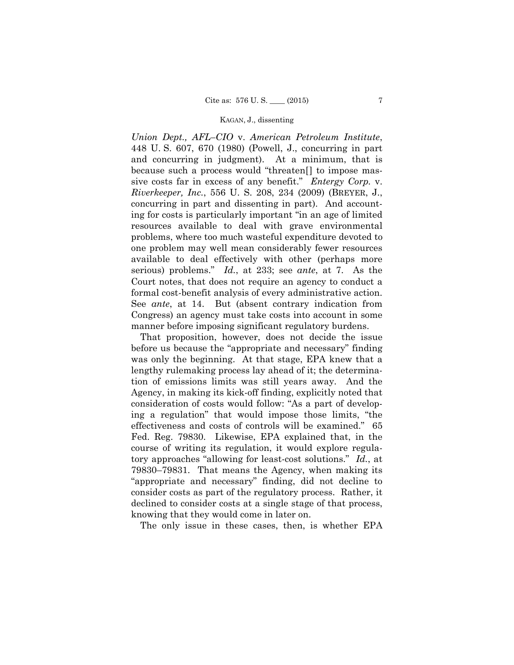formal cost-benefit analysis of every administrative action. *Union Dept., AFL–CIO* v. *American Petroleum Institute*, 448 U. S. 607, 670 (1980) (Powell, J., concurring in part and concurring in judgment). At a minimum, that is because such a process would "threaten[] to impose massive costs far in excess of any benefit." *Entergy Corp.* v. *Riverkeeper, Inc.*, 556 U. S. 208, 234 (2009) (BREYER, J., concurring in part and dissenting in part). And accounting for costs is particularly important "in an age of limited resources available to deal with grave environmental problems, where too much wasteful expenditure devoted to one problem may well mean considerably fewer resources available to deal effectively with other (perhaps more serious) problems." *Id.*, at 233; see *ante*, at 7. As the Court notes, that does not require an agency to conduct a See *ante*, at 14. But (absent contrary indication from Congress) an agency must take costs into account in some manner before imposing significant regulatory burdens.

That proposition, however, does not decide the issue before us because the "appropriate and necessary" finding was only the beginning. At that stage, EPA knew that a lengthy rulemaking process lay ahead of it; the determination of emissions limits was still years away. And the Agency, in making its kick-off finding, explicitly noted that consideration of costs would follow: "As a part of developing a regulation" that would impose those limits, "the effectiveness and costs of controls will be examined." 65 Fed. Reg. 79830. Likewise, EPA explained that, in the course of writing its regulation, it would explore regulatory approaches "allowing for least-cost solutions." *Id.*, at 79830–79831. That means the Agency, when making its "appropriate and necessary" finding, did not decline to consider costs as part of the regulatory process. Rather, it declined to consider costs at a single stage of that process, knowing that they would come in later on.

The only issue in these cases, then, is whether EPA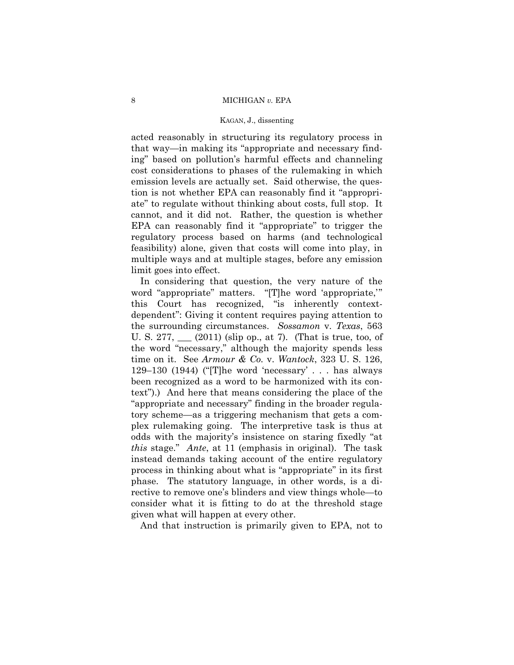### 8 MICHIGAN *v*. EPA

### KAGAN, J., dissenting

acted reasonably in structuring its regulatory process in that way—in making its "appropriate and necessary finding" based on pollution's harmful effects and channeling cost considerations to phases of the rulemaking in which emission levels are actually set. Said otherwise, the question is not whether EPA can reasonably find it "appropriate" to regulate without thinking about costs, full stop. It cannot, and it did not. Rather, the question is whether EPA can reasonably find it "appropriate" to trigger the regulatory process based on harms (and technological feasibility) alone, given that costs will come into play, in multiple ways and at multiple stages, before any emission limit goes into effect.

 *this* stage." *Ante*, at 11 (emphasis in original). The task In considering that question, the very nature of the word "appropriate" matters. "[T]he word 'appropriate,'" this Court has recognized, "is inherently contextdependent": Giving it content requires paying attention to the surrounding circumstances. *Sossamon* v. *Texas*, 563 U. S. 277, \_\_\_ (2011) (slip op., at 7). (That is true, too, of the word "necessary," although the majority spends less time on it. See *Armour & Co.* v. *Wantock*, 323 U. S. 126, 129–130 (1944) ("[T]he word 'necessary' . . . has always been recognized as a word to be harmonized with its context").) And here that means considering the place of the "appropriate and necessary" finding in the broader regulatory scheme—as a triggering mechanism that gets a complex rulemaking going. The interpretive task is thus at odds with the majority's insistence on staring fixedly "at instead demands taking account of the entire regulatory process in thinking about what is "appropriate" in its first phase. The statutory language, in other words, is a directive to remove one's blinders and view things whole—to consider what it is fitting to do at the threshold stage given what will happen at every other.

And that instruction is primarily given to EPA, not to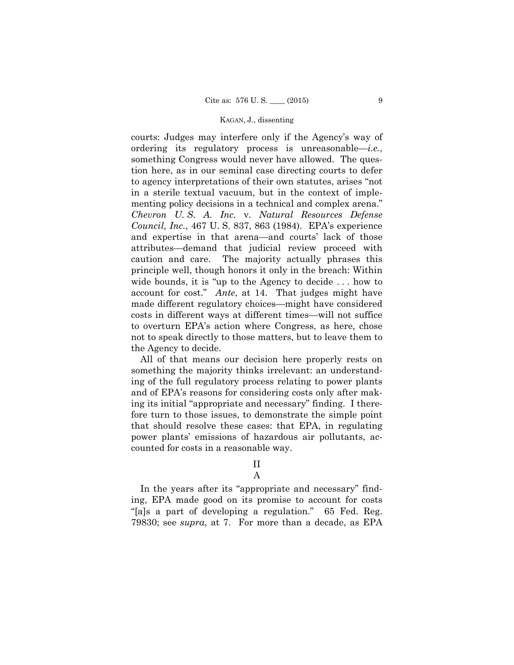account for cost." *Ante*, at 14. That judges might have courts: Judges may interfere only if the Agency's way of ordering its regulatory process is unreasonable—*i.e.*, something Congress would never have allowed. The question here, as in our seminal case directing courts to defer to agency interpretations of their own statutes, arises "not in a sterile textual vacuum, but in the context of implementing policy decisions in a technical and complex arena." *Chevron U. S. A. Inc.* v. *Natural Resources Defense Council, Inc.*, 467 U. S. 837, 863 (1984). EPA's experience and expertise in that arena—and courts' lack of those attributes—demand that judicial review proceed with caution and care. The majority actually phrases this principle well, though honors it only in the breach: Within wide bounds, it is "up to the Agency to decide . . . how to made different regulatory choices—might have considered costs in different ways at different times—will not suffice to overturn EPA's action where Congress, as here, chose not to speak directly to those matters, but to leave them to the Agency to decide.

All of that means our decision here properly rests on something the majority thinks irrelevant: an understanding of the full regulatory process relating to power plants and of EPA's reasons for considering costs only after making its initial "appropriate and necessary" finding. I therefore turn to those issues, to demonstrate the simple point that should resolve these cases: that EPA, in regulating power plants' emissions of hazardous air pollutants, accounted for costs in a reasonable way.

# II

A

In the years after its "appropriate and necessary" finding, EPA made good on its promise to account for costs "[a]s a part of developing a regulation." 65 Fed. Reg. 79830; see *supra*, at 7. For more than a decade, as EPA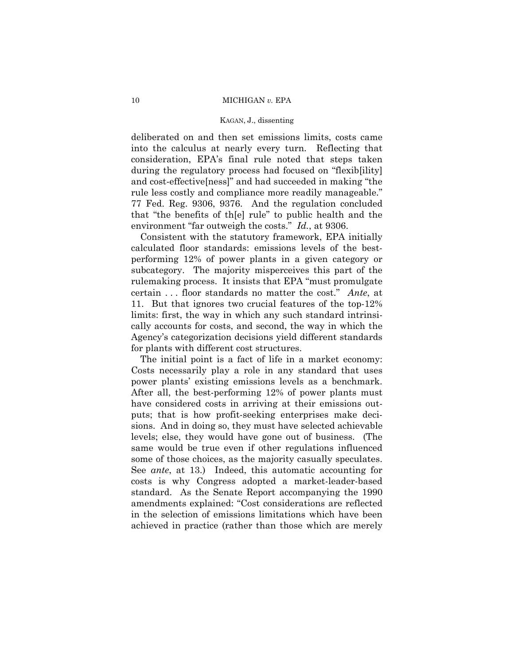deliberated on and then set emissions limits, costs came into the calculus at nearly every turn. Reflecting that consideration, EPA's final rule noted that steps taken during the regulatory process had focused on "flexib[ility] and cost-effective[ness]" and had succeeded in making "the rule less costly and compliance more readily manageable." 77 Fed. Reg. 9306, 9376. And the regulation concluded that "the benefits of th[e] rule" to public health and the environment "far outweigh the costs." *Id.*, at 9306.

Consistent with the statutory framework, EPA initially calculated floor standards: emissions levels of the bestperforming 12% of power plants in a given category or subcategory. The majority misperceives this part of the rulemaking process. It insists that EPA "must promulgate certain . . . floor standards no matter the cost." *Ante*, at 11. But that ignores two crucial features of the top-12% limits: first, the way in which any such standard intrinsically accounts for costs, and second, the way in which the Agency's categorization decisions yield different standards for plants with different cost structures.

The initial point is a fact of life in a market economy: Costs necessarily play a role in any standard that uses power plants' existing emissions levels as a benchmark. After all, the best-performing 12% of power plants must have considered costs in arriving at their emissions outputs; that is how profit-seeking enterprises make decisions. And in doing so, they must have selected achievable levels; else, they would have gone out of business. (The same would be true even if other regulations influenced some of those choices, as the majority casually speculates. See *ante*, at 13.) Indeed, this automatic accounting for costs is why Congress adopted a market-leader-based standard. As the Senate Report accompanying the 1990 amendments explained: "Cost considerations are reflected in the selection of emissions limitations which have been achieved in practice (rather than those which are merely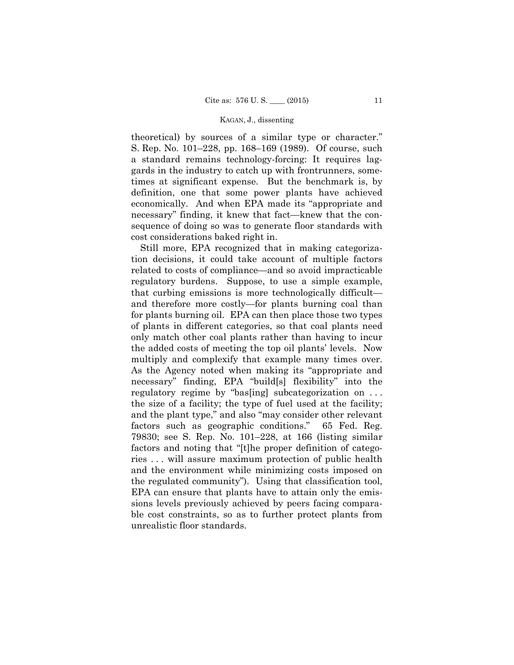theoretical) by sources of a similar type or character." S. Rep. No. 101–228, pp. 168–169 (1989). Of course, such a standard remains technology-forcing: It requires laggards in the industry to catch up with frontrunners, sometimes at significant expense. But the benchmark is, by definition, one that some power plants have achieved economically. And when EPA made its "appropriate and necessary" finding, it knew that fact—knew that the consequence of doing so was to generate floor standards with cost considerations baked right in.

Still more, EPA recognized that in making categorization decisions, it could take account of multiple factors related to costs of compliance—and so avoid impracticable regulatory burdens. Suppose, to use a simple example, that curbing emissions is more technologically difficult and therefore more costly—for plants burning coal than for plants burning oil. EPA can then place those two types of plants in different categories, so that coal plants need only match other coal plants rather than having to incur the added costs of meeting the top oil plants' levels. Now multiply and complexify that example many times over. As the Agency noted when making its "appropriate and necessary" finding, EPA "build[s] flexibility" into the regulatory regime by "bas[ing] subcategorization on . . . the size of a facility; the type of fuel used at the facility; and the plant type," and also "may consider other relevant factors such as geographic conditions." 65 Fed. Reg. 79830; see S. Rep. No. 101–228, at 166 (listing similar factors and noting that "[t]he proper definition of categories . . . will assure maximum protection of public health and the environment while minimizing costs imposed on the regulated community"). Using that classification tool, EPA can ensure that plants have to attain only the emissions levels previously achieved by peers facing comparable cost constraints, so as to further protect plants from unrealistic floor standards.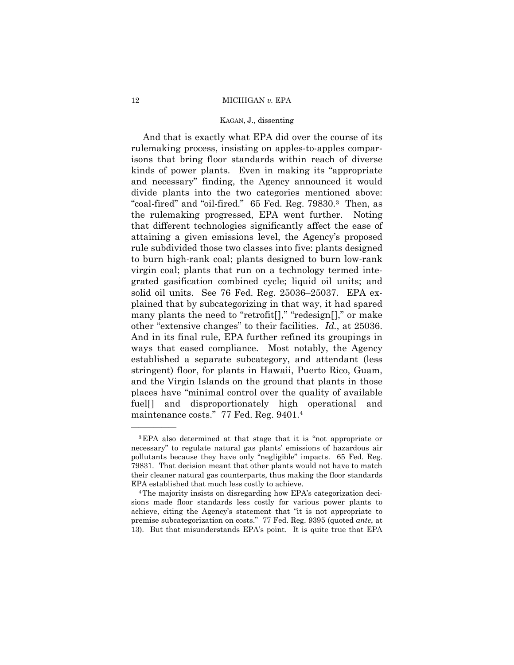And that is exactly what EPA did over the course of its rulemaking process, insisting on apples-to-apples comparisons that bring floor standards within reach of diverse kinds of power plants. Even in making its "appropriate and necessary" finding, the Agency announced it would divide plants into the two categories mentioned above: "coal-fired" and "oil-fired." 65 Fed. Reg. 79830.3 Then, as the rulemaking progressed, EPA went further. Noting that different technologies significantly affect the ease of attaining a given emissions level, the Agency's proposed rule subdivided those two classes into five: plants designed to burn high-rank coal; plants designed to burn low-rank virgin coal; plants that run on a technology termed integrated gasification combined cycle; liquid oil units; and solid oil units. See 76 Fed. Reg. 25036–25037. EPA explained that by subcategorizing in that way, it had spared many plants the need to "retrofit[]," "redesign[]," or make other "extensive changes" to their facilities. *Id.*, at 25036. And in its final rule, EPA further refined its groupings in ways that eased compliance. Most notably, the Agency established a separate subcategory, and attendant (less stringent) floor, for plants in Hawaii, Puerto Rico, Guam, and the Virgin Islands on the ground that plants in those places have "minimal control over the quality of available fuel<sup>[]</sup> and disproportionately high operational and maintenance costs." 77 Fed. Reg. 9401.4

——————

<sup>3</sup>EPA also determined at that stage that it is "not appropriate or necessary" to regulate natural gas plants' emissions of hazardous air pollutants because they have only "negligible" impacts. 65 Fed. Reg. 79831. That decision meant that other plants would not have to match their cleaner natural gas counterparts, thus making the floor standards EPA established that much less costly to achieve.<br><sup>4</sup>The majority insists on disregarding how EPA's categorization deci-

 achieve, citing the Agency's statement that "it is not appropriate to sions made floor standards less costly for various power plants to premise subcategorization on costs." 77 Fed. Reg. 9395 (quoted *ante*, at 13). But that misunderstands EPA's point. It is quite true that EPA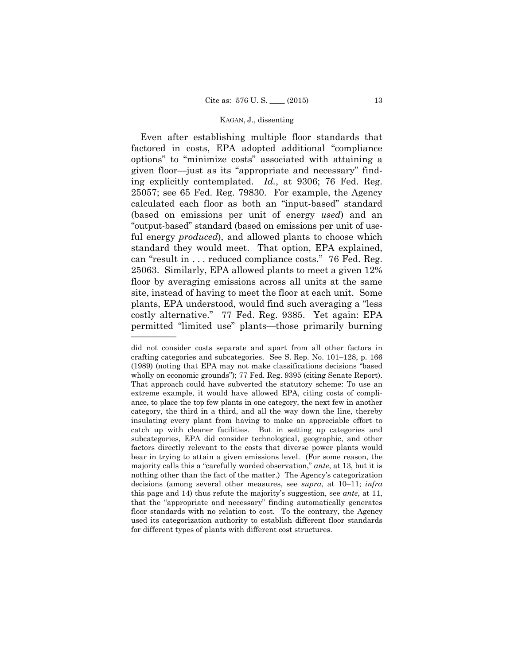Even after establishing multiple floor standards that factored in costs, EPA adopted additional "compliance options" to "minimize costs" associated with attaining a given floor—just as its "appropriate and necessary" finding explicitly contemplated. *Id.*, at 9306; 76 Fed. Reg. 25057; see 65 Fed. Reg. 79830. For example, the Agency calculated each floor as both an "input-based" standard (based on emissions per unit of energy *used*) and an "output-based" standard (based on emissions per unit of useful energy *produced*), and allowed plants to choose which standard they would meet. That option, EPA explained, can "result in . . . reduced compliance costs." 76 Fed. Reg. 25063. Similarly, EPA allowed plants to meet a given 12% floor by averaging emissions across all units at the same site, instead of having to meet the floor at each unit. Some plants, EPA understood, would find such averaging a "less costly alternative." 77 Fed. Reg. 9385. Yet again: EPA permitted "limited use" plants—those primarily burning

——————

 did not consider costs separate and apart from all other factors in wholly on economic grounds"); 77 Fed. Reg. 9395 (citing Senate Report). crafting categories and subcategories. See S. Rep. No. 101–128, p. 166 (1989) (noting that EPA may not make classifications decisions "based That approach could have subverted the statutory scheme: To use an extreme example, it would have allowed EPA, citing costs of compliance, to place the top few plants in one category, the next few in another category, the third in a third, and all the way down the line, thereby insulating every plant from having to make an appreciable effort to catch up with cleaner facilities. But in setting up categories and subcategories, EPA did consider technological, geographic, and other factors directly relevant to the costs that diverse power plants would bear in trying to attain a given emissions level. (For some reason, the majority calls this a "carefully worded observation," *ante*, at 13, but it is nothing other than the fact of the matter.) The Agency's categorization decisions (among several other measures, see *supra*, at 10–11; *infra*  this page and 14) thus refute the majority's suggestion, see *ante*, at 11, that the "appropriate and necessary" finding automatically generates floor standards with no relation to cost. To the contrary, the Agency used its categorization authority to establish different floor standards for different types of plants with different cost structures.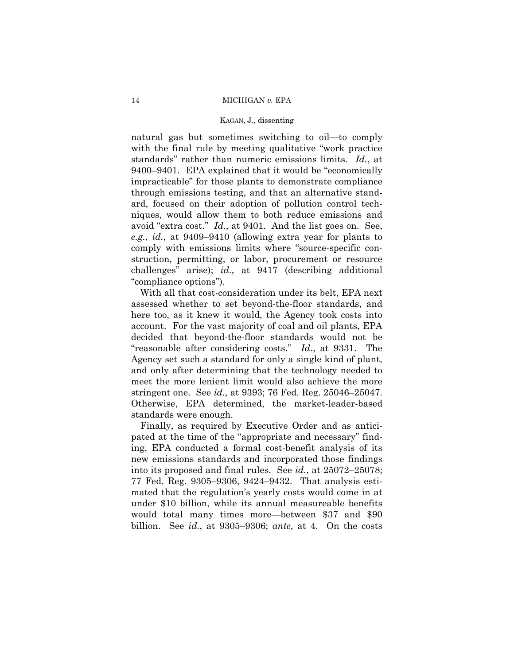natural gas but sometimes switching to oil—to comply with the final rule by meeting qualitative "work practice" standards" rather than numeric emissions limits. *Id.*, at 9400–9401. EPA explained that it would be "economically impracticable" for those plants to demonstrate compliance through emissions testing, and that an alternative standard, focused on their adoption of pollution control techniques, would allow them to both reduce emissions and avoid "extra cost." *Id.*, at 9401. And the list goes on. See, *e.g.*, *id.*, at 9409–9410 (allowing extra year for plants to comply with emissions limits where "source-specific construction, permitting, or labor, procurement or resource challenges" arise); *id.*, at 9417 (describing additional "compliance options").

With all that cost-consideration under its belt, EPA next assessed whether to set beyond-the-floor standards, and here too, as it knew it would, the Agency took costs into account. For the vast majority of coal and oil plants, EPA decided that beyond-the-floor standards would not be "reasonable after considering costs." *Id.*, at 9331. The Agency set such a standard for only a single kind of plant, and only after determining that the technology needed to meet the more lenient limit would also achieve the more stringent one. See *id.*, at 9393; 76 Fed. Reg. 25046–25047. Otherwise, EPA determined, the market-leader-based standards were enough.

Finally, as required by Executive Order and as anticipated at the time of the "appropriate and necessary" finding, EPA conducted a formal cost-benefit analysis of its new emissions standards and incorporated those findings into its proposed and final rules. See *id.*, at 25072–25078; 77 Fed. Reg. 9305–9306, 9424–9432. That analysis estimated that the regulation's yearly costs would come in at under \$10 billion, while its annual measureable benefits would total many times more—between \$37 and \$90 billion. See *id.*, at 9305–9306; *ante*, at 4. On the costs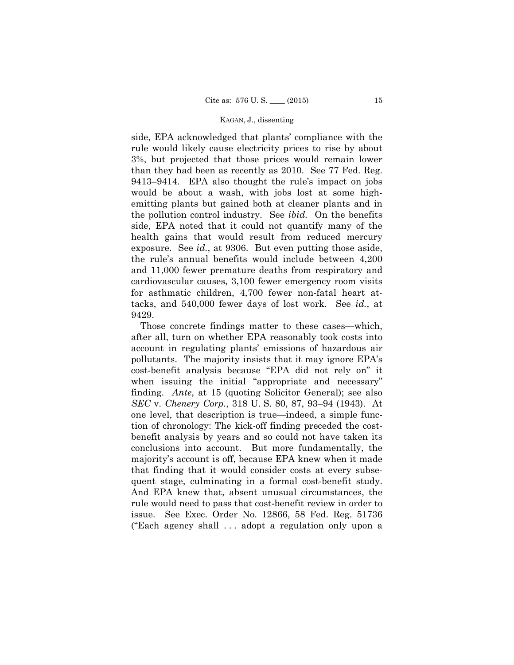side, EPA acknowledged that plants' compliance with the rule would likely cause electricity prices to rise by about 3%, but projected that those prices would remain lower than they had been as recently as 2010. See 77 Fed. Reg. 9413–9414. EPA also thought the rule's impact on jobs would be about a wash, with jobs lost at some highemitting plants but gained both at cleaner plants and in the pollution control industry. See *ibid.* On the benefits side, EPA noted that it could not quantify many of the health gains that would result from reduced mercury exposure. See *id.*, at 9306. But even putting those aside, the rule's annual benefits would include between 4,200 and 11,000 fewer premature deaths from respiratory and cardiovascular causes, 3,100 fewer emergency room visits for asthmatic children, 4,700 fewer non-fatal heart attacks, and 540,000 fewer days of lost work. See *id.*, at 9429.

Those concrete findings matter to these cases—which, after all, turn on whether EPA reasonably took costs into account in regulating plants' emissions of hazardous air pollutants. The majority insists that it may ignore EPA's cost-benefit analysis because "EPA did not rely on" it when issuing the initial "appropriate and necessary" finding. *Ante*, at 15 (quoting Solicitor General); see also *SEC* v. *Chenery Corp.*, 318 U. S. 80, 87, 93–94 (1943). At one level, that description is true—indeed, a simple function of chronology: The kick-off finding preceded the costbenefit analysis by years and so could not have taken its conclusions into account. But more fundamentally, the majority's account is off, because EPA knew when it made that finding that it would consider costs at every subsequent stage, culminating in a formal cost-benefit study. And EPA knew that, absent unusual circumstances, the rule would need to pass that cost-benefit review in order to issue. See Exec. Order No. 12866, 58 Fed. Reg. 51736 ("Each agency shall . . . adopt a regulation only upon a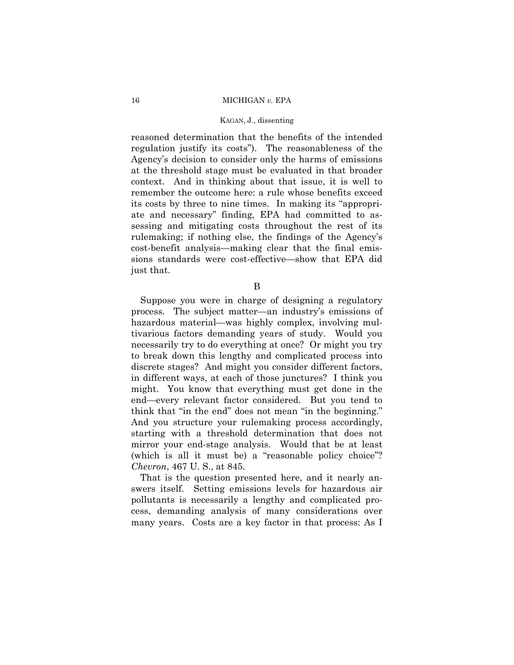### 16 MICHIGAN *v.* EPA

### KAGAN, J., dissenting

reasoned determination that the benefits of the intended regulation justify its costs"). The reasonableness of the Agency's decision to consider only the harms of emissions at the threshold stage must be evaluated in that broader context. And in thinking about that issue, it is well to remember the outcome here: a rule whose benefits exceed its costs by three to nine times. In making its "appropriate and necessary" finding, EPA had committed to assessing and mitigating costs throughout the rest of its rulemaking; if nothing else, the findings of the Agency's cost-benefit analysis—making clear that the final emissions standards were cost-effective—show that EPA did just that.

B

Suppose you were in charge of designing a regulatory process. The subject matter—an industry's emissions of hazardous material—was highly complex, involving multivarious factors demanding years of study. Would you necessarily try to do everything at once? Or might you try to break down this lengthy and complicated process into discrete stages? And might you consider different factors, in different ways, at each of those junctures? I think you might. You know that everything must get done in the end—every relevant factor considered. But you tend to think that "in the end" does not mean "in the beginning." And you structure your rulemaking process accordingly, starting with a threshold determination that does not mirror your end-stage analysis. Would that be at least (which is all it must be) a "reasonable policy choice"? *Chevron*, 467 U. S., at 845.

That is the question presented here, and it nearly answers itself. Setting emissions levels for hazardous air pollutants is necessarily a lengthy and complicated process, demanding analysis of many considerations over many years. Costs are a key factor in that process: As I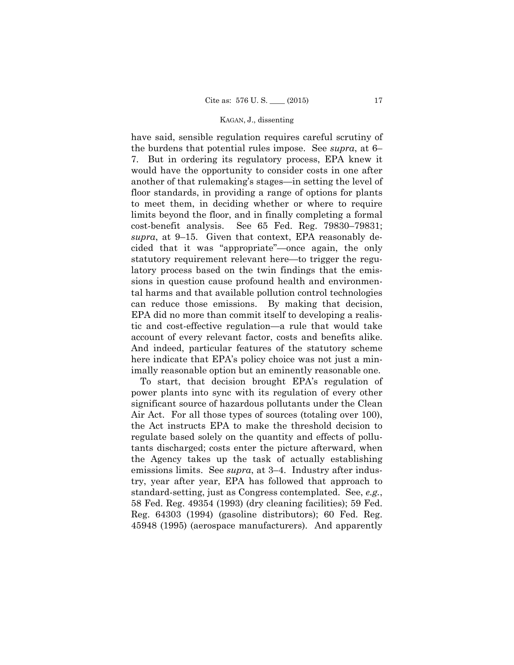have said, sensible regulation requires careful scrutiny of the burdens that potential rules impose. See *supra*, at 6– 7. But in ordering its regulatory process, EPA knew it would have the opportunity to consider costs in one after another of that rulemaking's stages—in setting the level of floor standards, in providing a range of options for plants to meet them, in deciding whether or where to require limits beyond the floor, and in finally completing a formal cost-benefit analysis. See 65 Fed. Reg. 79830–79831; *supra*, at 9–15. Given that context, EPA reasonably decided that it was "appropriate"—once again, the only statutory requirement relevant here—to trigger the regulatory process based on the twin findings that the emissions in question cause profound health and environmental harms and that available pollution control technologies can reduce those emissions. By making that decision, EPA did no more than commit itself to developing a realistic and cost-effective regulation—a rule that would take account of every relevant factor, costs and benefits alike. And indeed, particular features of the statutory scheme here indicate that EPA's policy choice was not just a minimally reasonable option but an eminently reasonable one.

To start, that decision brought EPA's regulation of power plants into sync with its regulation of every other significant source of hazardous pollutants under the Clean Air Act. For all those types of sources (totaling over 100), the Act instructs EPA to make the threshold decision to regulate based solely on the quantity and effects of pollutants discharged; costs enter the picture afterward, when the Agency takes up the task of actually establishing emissions limits. See *supra*, at 3–4. Industry after industry, year after year, EPA has followed that approach to standard-setting, just as Congress contemplated. See, *e.g.*, 58 Fed. Reg. 49354 (1993) (dry cleaning facilities); 59 Fed. Reg. 64303 (1994) (gasoline distributors); 60 Fed. Reg. 45948 (1995) (aerospace manufacturers). And apparently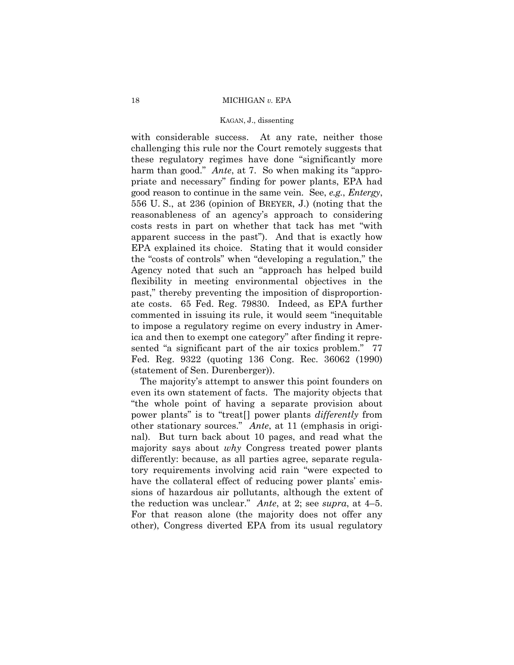with considerable success. At any rate, neither those challenging this rule nor the Court remotely suggests that these regulatory regimes have done "significantly more harm than good." *Ante*, at 7. So when making its "appropriate and necessary" finding for power plants, EPA had good reason to continue in the same vein. See, *e.g.*, *Entergy*, 556 U. S., at 236 (opinion of BREYER, J.) (noting that the reasonableness of an agency's approach to considering costs rests in part on whether that tack has met "with apparent success in the past"). And that is exactly how EPA explained its choice. Stating that it would consider the "costs of controls" when "developing a regulation," the Agency noted that such an "approach has helped build flexibility in meeting environmental objectives in the past," thereby preventing the imposition of disproportionate costs. 65 Fed. Reg. 79830. Indeed, as EPA further commented in issuing its rule, it would seem "inequitable to impose a regulatory regime on every industry in America and then to exempt one category" after finding it represented "a significant part of the air toxics problem." 77 Fed. Reg. 9322 (quoting 136 Cong. Rec. 36062 (1990) (statement of Sen. Durenberger)).

 even its own statement of facts. The majority objects that nal). But turn back about 10 pages, and read what the  the reduction was unclear." *Ante*, at 2; see *supra*, at 4–5. For that reason alone (the majority does not offer any The majority's attempt to answer this point founders on "the whole point of having a separate provision about power plants" is to "treat[] power plants *differently* from other stationary sources." *Ante*, at 11 (emphasis in origimajority says about *why* Congress treated power plants differently: because, as all parties agree, separate regulatory requirements involving acid rain "were expected to have the collateral effect of reducing power plants' emissions of hazardous air pollutants, although the extent of other), Congress diverted EPA from its usual regulatory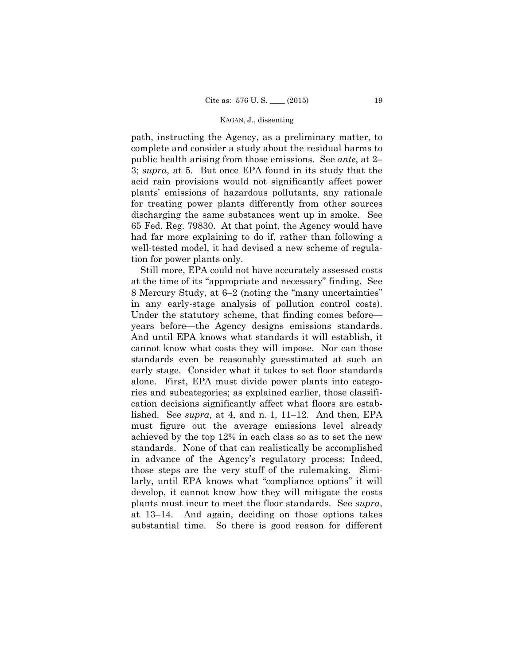path, instructing the Agency, as a preliminary matter, to complete and consider a study about the residual harms to public health arising from those emissions. See *ante*, at 2– 3; *supra*, at 5. But once EPA found in its study that the acid rain provisions would not significantly affect power plants' emissions of hazardous pollutants, any rationale for treating power plants differently from other sources discharging the same substances went up in smoke. See 65 Fed. Reg. 79830. At that point, the Agency would have had far more explaining to do if, rather than following a well-tested model, it had devised a new scheme of regulation for power plants only.

Still more, EPA could not have accurately assessed costs at the time of its "appropriate and necessary" finding. See 8 Mercury Study, at 6–2 (noting the "many uncertainties" in any early-stage analysis of pollution control costs). Under the statutory scheme, that finding comes before years before—the Agency designs emissions standards. And until EPA knows what standards it will establish, it cannot know what costs they will impose. Nor can those standards even be reasonably guesstimated at such an early stage. Consider what it takes to set floor standards alone. First, EPA must divide power plants into categories and subcategories; as explained earlier, those classification decisions significantly affect what floors are established. See *supra*, at 4, and n. 1, 11–12. And then, EPA must figure out the average emissions level already achieved by the top 12% in each class so as to set the new standards. None of that can realistically be accomplished in advance of the Agency's regulatory process: Indeed, those steps are the very stuff of the rulemaking. Similarly, until EPA knows what "compliance options" it will develop, it cannot know how they will mitigate the costs plants must incur to meet the floor standards. See *supra*, at 13–14. And again, deciding on those options takes substantial time. So there is good reason for different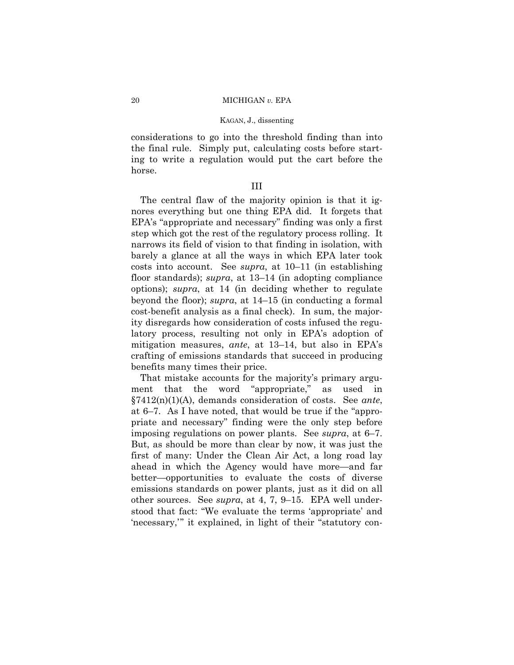considerations to go into the threshold finding than into the final rule. Simply put, calculating costs before starting to write a regulation would put the cart before the horse.

### III

The central flaw of the majority opinion is that it ignores everything but one thing EPA did. It forgets that EPA's "appropriate and necessary" finding was only a first step which got the rest of the regulatory process rolling. It narrows its field of vision to that finding in isolation, with barely a glance at all the ways in which EPA later took costs into account. See *supra*, at 10–11 (in establishing floor standards); *supra*, at 13–14 (in adopting compliance options); *supra*, at 14 (in deciding whether to regulate beyond the floor); *supra*, at 14–15 (in conducting a formal cost-benefit analysis as a final check). In sum, the majority disregards how consideration of costs infused the regulatory process, resulting not only in EPA's adoption of mitigation measures, *ante*, at 13–14, but also in EPA's crafting of emissions standards that succeed in producing benefits many times their price.

That mistake accounts for the majority's primary argument that the word "appropriate," as used in §7412(n)(1)(A), demands consideration of costs. See *ante*, at 6–7. As I have noted, that would be true if the "appropriate and necessary" finding were the only step before imposing regulations on power plants. See *supra*, at 6–7. But, as should be more than clear by now, it was just the first of many: Under the Clean Air Act, a long road lay ahead in which the Agency would have more—and far better—opportunities to evaluate the costs of diverse emissions standards on power plants, just as it did on all other sources. See *supra*, at 4, 7, 9–15. EPA well understood that fact: "We evaluate the terms 'appropriate' and 'necessary,'" it explained, in light of their "statutory con-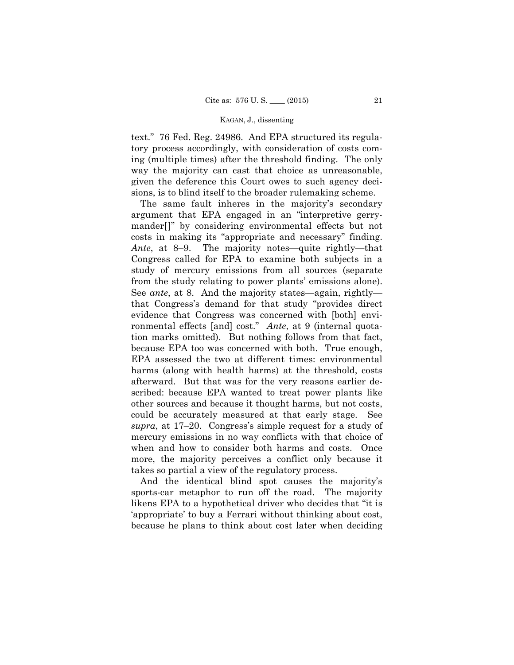text." 76 Fed. Reg. 24986. And EPA structured its regulatory process accordingly, with consideration of costs coming (multiple times) after the threshold finding. The only way the majority can cast that choice as unreasonable, given the deference this Court owes to such agency decisions, is to blind itself to the broader rulemaking scheme.

The same fault inheres in the majority's secondary argument that EPA engaged in an "interpretive gerrymander[]" by considering environmental effects but not costs in making its "appropriate and necessary" finding. *Ante*, at 8–9. The majority notes—quite rightly—that Congress called for EPA to examine both subjects in a study of mercury emissions from all sources (separate from the study relating to power plants' emissions alone). See *ante*, at 8. And the majority states—again, rightly that Congress's demand for that study "provides direct evidence that Congress was concerned with [both] environmental effects [and] cost." *Ante*, at 9 (internal quotation marks omitted). But nothing follows from that fact, because EPA too was concerned with both. True enough, EPA assessed the two at different times: environmental harms (along with health harms) at the threshold, costs afterward. But that was for the very reasons earlier described: because EPA wanted to treat power plants like other sources and because it thought harms, but not costs, could be accurately measured at that early stage. See *supra*, at 17–20. Congress's simple request for a study of mercury emissions in no way conflicts with that choice of when and how to consider both harms and costs. Once more, the majority perceives a conflict only because it takes so partial a view of the regulatory process.

And the identical blind spot causes the majority's sports-car metaphor to run off the road. The majority likens EPA to a hypothetical driver who decides that "it is 'appropriate' to buy a Ferrari without thinking about cost, because he plans to think about cost later when deciding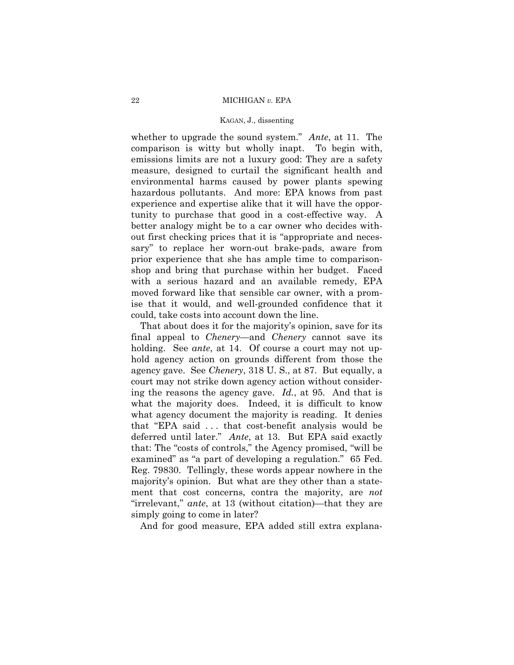whether to upgrade the sound system." *Ante*, at 11. The comparison is witty but wholly inapt. To begin with, emissions limits are not a luxury good: They are a safety measure, designed to curtail the significant health and environmental harms caused by power plants spewing hazardous pollutants. And more: EPA knows from past experience and expertise alike that it will have the opportunity to purchase that good in a cost-effective way. A better analogy might be to a car owner who decides without first checking prices that it is "appropriate and necessary" to replace her worn-out brake-pads, aware from prior experience that she has ample time to comparisonshop and bring that purchase within her budget. Faced with a serious hazard and an available remedy, EPA moved forward like that sensible car owner, with a promise that it would, and well-grounded confidence that it could, take costs into account down the line.

 what agency document the majority is reading. It denies That about does it for the majority's opinion, save for its final appeal to *Chenery*—and *Chenery* cannot save its holding. See *ante*, at 14. Of course a court may not uphold agency action on grounds different from those the agency gave. See *Chenery*, 318 U. S., at 87. But equally, a court may not strike down agency action without considering the reasons the agency gave. *Id.*, at 95. And that is what the majority does. Indeed, it is difficult to know that "EPA said . . . that cost-benefit analysis would be deferred until later." *Ante*, at 13. But EPA said exactly that: The "costs of controls," the Agency promised, "will be examined" as "a part of developing a regulation." 65 Fed. Reg. 79830. Tellingly, these words appear nowhere in the majority's opinion. But what are they other than a statement that cost concerns, contra the majority, are *not*  "irrelevant," *ante*, at 13 (without citation)—that they are simply going to come in later?

And for good measure, EPA added still extra explana-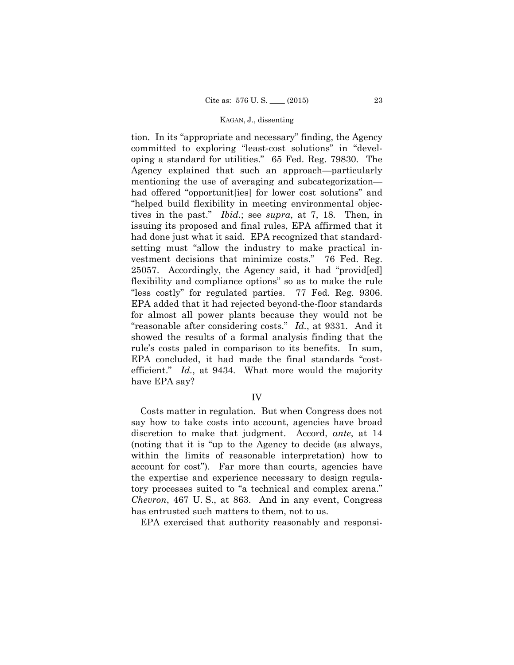tion. In its "appropriate and necessary" finding, the Agency committed to exploring "least-cost solutions" in "developing a standard for utilities." 65 Fed. Reg. 79830. The Agency explained that such an approach—particularly mentioning the use of averaging and subcategorization had offered "opportunit[ies] for lower cost solutions" and "helped build flexibility in meeting environmental objectives in the past." *Ibid.*; see *supra*, at 7, 18*.* Then, in issuing its proposed and final rules, EPA affirmed that it had done just what it said. EPA recognized that standardsetting must "allow the industry to make practical investment decisions that minimize costs." 76 Fed. Reg. 25057. Accordingly, the Agency said, it had "provid[ed] flexibility and compliance options" so as to make the rule "less costly" for regulated parties. 77 Fed. Reg. 9306. EPA added that it had rejected beyond-the-floor standards for almost all power plants because they would not be "reasonable after considering costs." *Id.*, at 9331. And it showed the results of a formal analysis finding that the rule's costs paled in comparison to its benefits. In sum, EPA concluded, it had made the final standards "costefficient." *Id.*, at 9434. What more would the majority have EPA say?

## IV

account for cost"). Far more than courts, agencies have Costs matter in regulation. But when Congress does not say how to take costs into account, agencies have broad discretion to make that judgment. Accord, *ante*, at 14 (noting that it is "up to the Agency to decide (as always, within the limits of reasonable interpretation) how to the expertise and experience necessary to design regulatory processes suited to "a technical and complex arena." *Chevron*, 467 U. S., at 863. And in any event, Congress has entrusted such matters to them, not to us.

EPA exercised that authority reasonably and responsi-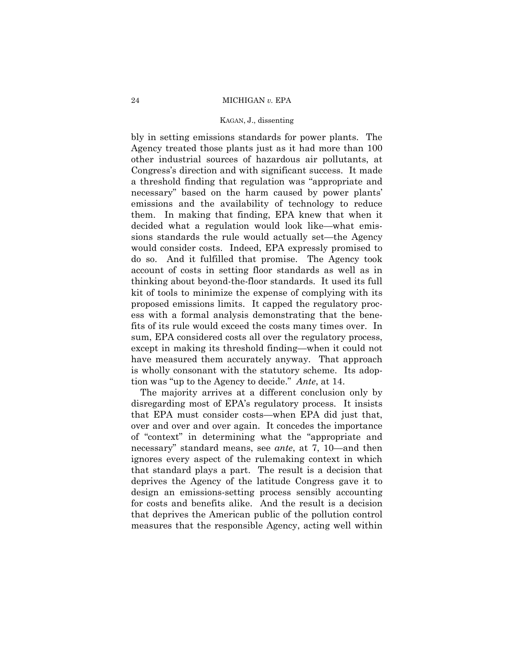### 24 MICHIGAN *v.* EPA

### KAGAN, J., dissenting

bly in setting emissions standards for power plants. The Agency treated those plants just as it had more than 100 other industrial sources of hazardous air pollutants, at Congress's direction and with significant success. It made a threshold finding that regulation was "appropriate and necessary" based on the harm caused by power plants' emissions and the availability of technology to reduce them. In making that finding, EPA knew that when it decided what a regulation would look like—what emissions standards the rule would actually set—the Agency would consider costs. Indeed, EPA expressly promised to do so. And it fulfilled that promise. The Agency took account of costs in setting floor standards as well as in thinking about beyond-the-floor standards. It used its full kit of tools to minimize the expense of complying with its proposed emissions limits. It capped the regulatory process with a formal analysis demonstrating that the benefits of its rule would exceed the costs many times over. In sum, EPA considered costs all over the regulatory process, except in making its threshold finding—when it could not have measured them accurately anyway. That approach is wholly consonant with the statutory scheme. Its adoption was "up to the Agency to decide." *Ante*, at 14.

The majority arrives at a different conclusion only by disregarding most of EPA's regulatory process. It insists that EPA must consider costs—when EPA did just that, over and over and over again. It concedes the importance of "context" in determining what the "appropriate and necessary" standard means, see *ante*, at 7, 10—and then ignores every aspect of the rulemaking context in which that standard plays a part. The result is a decision that deprives the Agency of the latitude Congress gave it to design an emissions-setting process sensibly accounting for costs and benefits alike. And the result is a decision that deprives the American public of the pollution control measures that the responsible Agency, acting well within